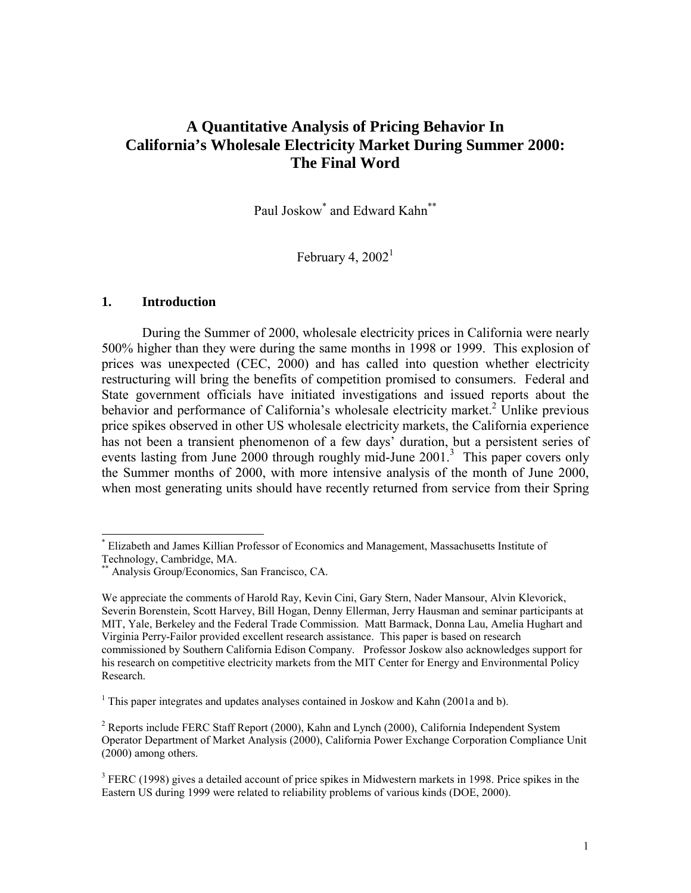# **A Quantitative Analysis of Pricing Behavior In California's Wholesale Electricity Market During Summer 2000: The Final Word**

Paul Joskow<sup>\*</sup> and Edward Kahn<sup>\*\*</sup>

February 4,  $2002<sup>1</sup>$ 

#### **1. Introduction**

 $\overline{a}$ 

During the Summer of 2000, wholesale electricity prices in California were nearly 500% higher than they were during the same months in 1998 or 1999. This explosion of prices was unexpected (CEC, 2000) and has called into question whether electricity restructuring will bring the benefits of competition promised to consumers. Federal and State government officials have initiated investigations and issued reports about the behavior and performance of California's wholesale electricity market.<sup>2</sup> Unlike previous price spikes observed in other US wholesale electricity markets, the California experience has not been a transient phenomenon of a few days' duration, but a persistent series of events lasting from June 2000 through roughly mid-June 2001.<sup>3</sup> This paper covers only the Summer months of 2000, with more intensive analysis of the month of June 2000, when most generating units should have recently returned from service from their Spring

<sup>\*</sup> Elizabeth and James Killian Professor of Economics and Management, Massachusetts Institute of Technology, Cambridge, MA.

<sup>\*\*</sup> Analysis Group/Economics, San Francisco, CA.

We appreciate the comments of Harold Ray, Kevin Cini, Gary Stern, Nader Mansour, Alvin Klevorick, Severin Borenstein, Scott Harvey, Bill Hogan, Denny Ellerman, Jerry Hausman and seminar participants at MIT, Yale, Berkeley and the Federal Trade Commission. Matt Barmack, Donna Lau, Amelia Hughart and Virginia Perry-Failor provided excellent research assistance. This paper is based on research commissioned by Southern California Edison Company. Professor Joskow also acknowledges support for his research on competitive electricity markets from the MIT Center for Energy and Environmental Policy Research.

<sup>&</sup>lt;sup>1</sup> This paper integrates and updates analyses contained in Joskow and Kahn (2001a and b).

 $2^{2}$  Reports include FERC Staff Report (2000), Kahn and Lynch (2000), California Independent System Operator Department of Market Analysis (2000), California Power Exchange Corporation Compliance Unit (2000) among others.

 $3$  FERC (1998) gives a detailed account of price spikes in Midwestern markets in 1998. Price spikes in the Eastern US during 1999 were related to reliability problems of various kinds (DOE, 2000).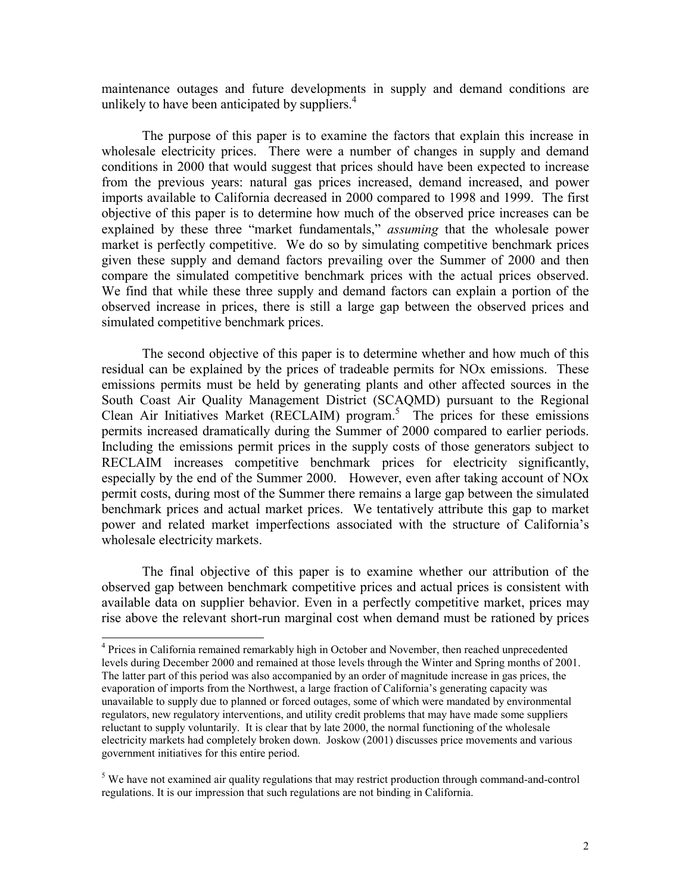maintenance outages and future developments in supply and demand conditions are unlikely to have been anticipated by suppliers.<sup>4</sup>

The purpose of this paper is to examine the factors that explain this increase in wholesale electricity prices. There were a number of changes in supply and demand conditions in 2000 that would suggest that prices should have been expected to increase from the previous years: natural gas prices increased, demand increased, and power imports available to California decreased in 2000 compared to 1998 and 1999. The first objective of this paper is to determine how much of the observed price increases can be explained by these three "market fundamentals," *assuming* that the wholesale power market is perfectly competitive. We do so by simulating competitive benchmark prices given these supply and demand factors prevailing over the Summer of 2000 and then compare the simulated competitive benchmark prices with the actual prices observed. We find that while these three supply and demand factors can explain a portion of the observed increase in prices, there is still a large gap between the observed prices and simulated competitive benchmark prices.

The second objective of this paper is to determine whether and how much of this residual can be explained by the prices of tradeable permits for NOx emissions. These emissions permits must be held by generating plants and other affected sources in the South Coast Air Quality Management District (SCAQMD) pursuant to the Regional Clean Air Initiatives Market ( $\overline{\text{RECLAIM}}$ ) program.<sup>5</sup> The prices for these emissions permits increased dramatically during the Summer of 2000 compared to earlier periods. Including the emissions permit prices in the supply costs of those generators subject to RECLAIM increases competitive benchmark prices for electricity significantly, especially by the end of the Summer 2000. However, even after taking account of NOx permit costs, during most of the Summer there remains a large gap between the simulated benchmark prices and actual market prices. We tentatively attribute this gap to market power and related market imperfections associated with the structure of Californiaís wholesale electricity markets.

The final objective of this paper is to examine whether our attribution of the observed gap between benchmark competitive prices and actual prices is consistent with available data on supplier behavior. Even in a perfectly competitive market, prices may rise above the relevant short-run marginal cost when demand must be rationed by prices

<sup>&</sup>lt;sup>4</sup> Prices in California remained remarkably high in October and November, then reached unprecedented levels during December 2000 and remained at those levels through the Winter and Spring months of 2001. The latter part of this period was also accompanied by an order of magnitude increase in gas prices, the evaporation of imports from the Northwest, a large fraction of California's generating capacity was unavailable to supply due to planned or forced outages, some of which were mandated by environmental regulators, new regulatory interventions, and utility credit problems that may have made some suppliers reluctant to supply voluntarily. It is clear that by late 2000, the normal functioning of the wholesale electricity markets had completely broken down. Joskow (2001) discusses price movements and various government initiatives for this entire period.

<sup>&</sup>lt;sup>5</sup> We have not examined air quality regulations that may restrict production through command-and-control regulations. It is our impression that such regulations are not binding in California.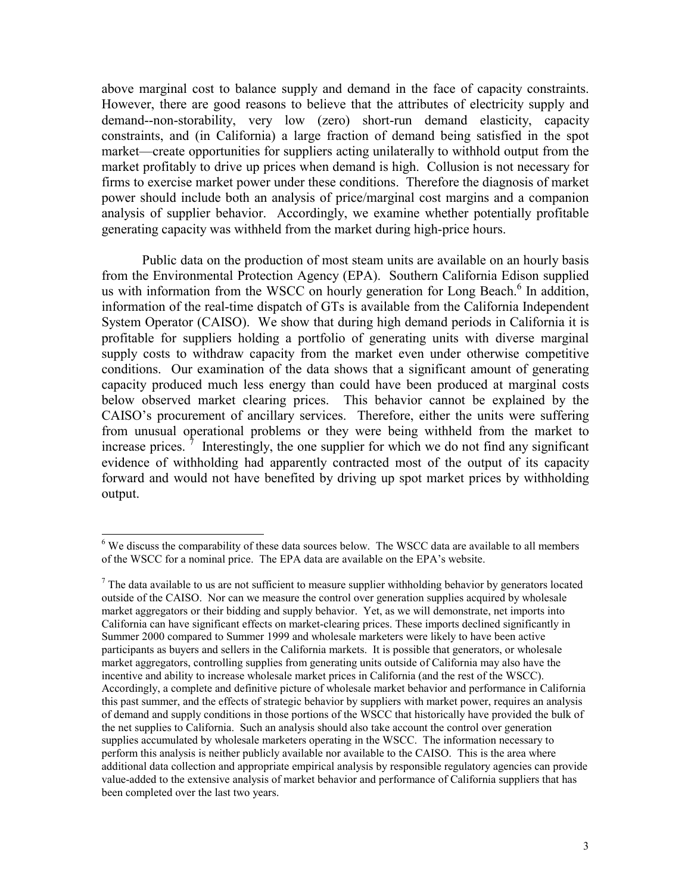above marginal cost to balance supply and demand in the face of capacity constraints. However, there are good reasons to believe that the attributes of electricity supply and demand--non-storability, very low (zero) short-run demand elasticity, capacity constraints, and (in California) a large fraction of demand being satisfied in the spot market—create opportunities for suppliers acting unilaterally to withhold output from the market profitably to drive up prices when demand is high. Collusion is not necessary for firms to exercise market power under these conditions. Therefore the diagnosis of market power should include both an analysis of price/marginal cost margins and a companion analysis of supplier behavior. Accordingly, we examine whether potentially profitable generating capacity was withheld from the market during high-price hours.

Public data on the production of most steam units are available on an hourly basis from the Environmental Protection Agency (EPA). Southern California Edison supplied us with information from the WSCC on hourly generation for Long Beach.<sup>6</sup> In addition, information of the real-time dispatch of GTs is available from the California Independent System Operator (CAISO). We show that during high demand periods in California it is profitable for suppliers holding a portfolio of generating units with diverse marginal supply costs to withdraw capacity from the market even under otherwise competitive conditions. Our examination of the data shows that a significant amount of generating capacity produced much less energy than could have been produced at marginal costs below observed market clearing prices. This behavior cannot be explained by the CAISO's procurement of ancillary services. Therefore, either the units were suffering from unusual operational problems or they were being withheld from the market to increase prices.<sup>7</sup> Interestingly, the one supplier for which we do not find any significant evidence of withholding had apparently contracted most of the output of its capacity forward and would not have benefited by driving up spot market prices by withholding output.

<sup>&</sup>lt;sup>6</sup> We discuss the comparability of these data sources below. The WSCC data are available to all members of the WSCC for a nominal price. The EPA data are available on the EPA's website.

 $<sup>7</sup>$  The data available to us are not sufficient to measure supplier withholding behavior by generators located</sup> outside of the CAISO. Nor can we measure the control over generation supplies acquired by wholesale market aggregators or their bidding and supply behavior. Yet, as we will demonstrate, net imports into California can have significant effects on market-clearing prices. These imports declined significantly in Summer 2000 compared to Summer 1999 and wholesale marketers were likely to have been active participants as buyers and sellers in the California markets. It is possible that generators, or wholesale market aggregators, controlling supplies from generating units outside of California may also have the incentive and ability to increase wholesale market prices in California (and the rest of the WSCC). Accordingly, a complete and definitive picture of wholesale market behavior and performance in California this past summer, and the effects of strategic behavior by suppliers with market power, requires an analysis of demand and supply conditions in those portions of the WSCC that historically have provided the bulk of the net supplies to California. Such an analysis should also take account the control over generation supplies accumulated by wholesale marketers operating in the WSCC. The information necessary to perform this analysis is neither publicly available nor available to the CAISO. This is the area where additional data collection and appropriate empirical analysis by responsible regulatory agencies can provide value-added to the extensive analysis of market behavior and performance of California suppliers that has been completed over the last two years.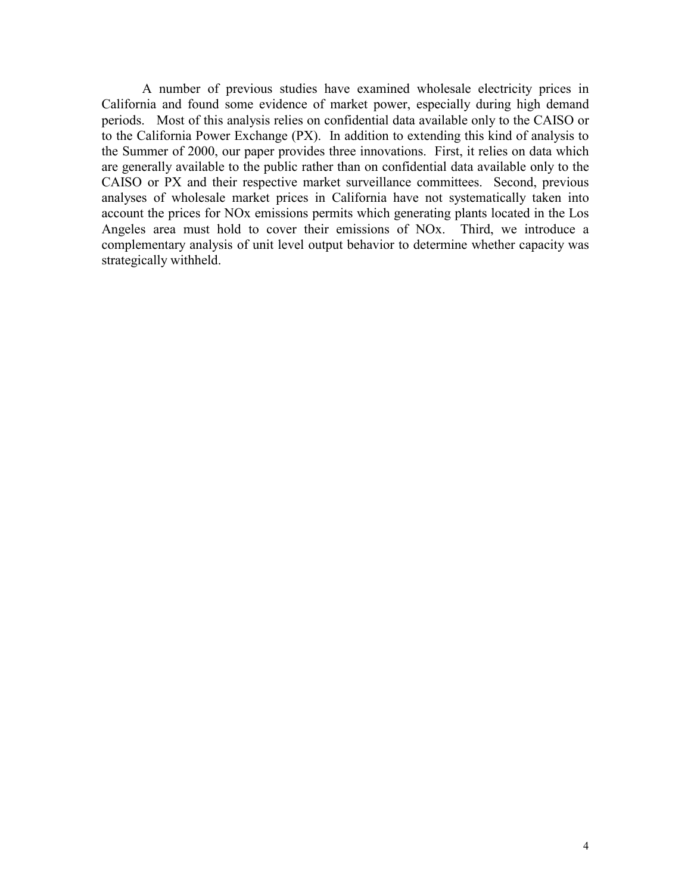A number of previous studies have examined wholesale electricity prices in California and found some evidence of market power, especially during high demand periods. Most of this analysis relies on confidential data available only to the CAISO or to the California Power Exchange (PX). In addition to extending this kind of analysis to the Summer of 2000, our paper provides three innovations. First, it relies on data which are generally available to the public rather than on confidential data available only to the CAISO or PX and their respective market surveillance committees. Second, previous analyses of wholesale market prices in California have not systematically taken into account the prices for NOx emissions permits which generating plants located in the Los Angeles area must hold to cover their emissions of NOx. Third, we introduce a complementary analysis of unit level output behavior to determine whether capacity was strategically withheld.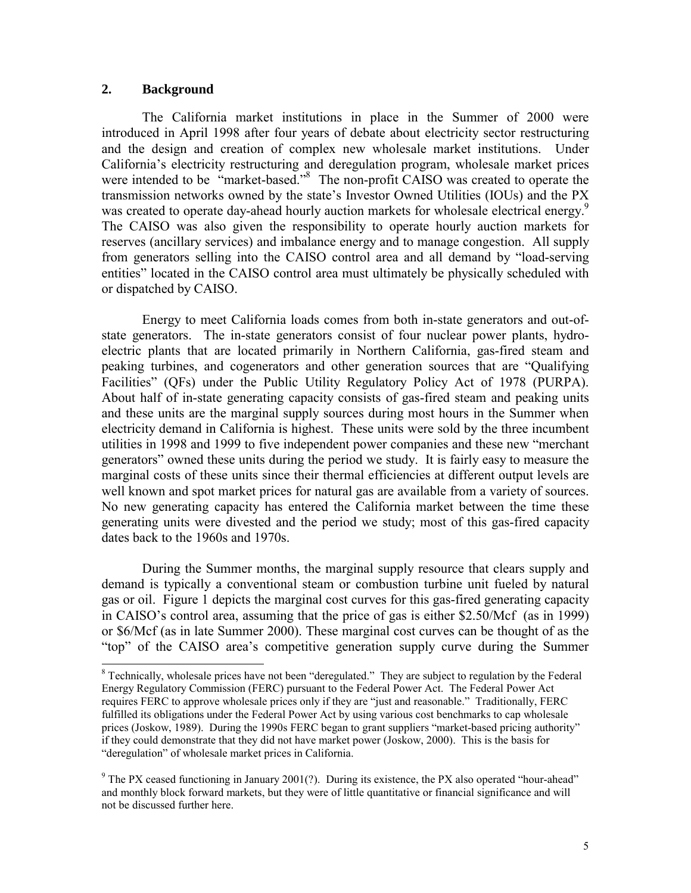### **2. Background**

 $\overline{a}$ 

The California market institutions in place in the Summer of 2000 were introduced in April 1998 after four years of debate about electricity sector restructuring and the design and creation of complex new wholesale market institutions. Under Californiaís electricity restructuring and deregulation program, wholesale market prices were intended to be "market-based."<sup>8</sup> The non-profit CAISO was created to operate the transmission networks owned by the state's Investor Owned Utilities (IOUs) and the PX was created to operate day-ahead hourly auction markets for wholesale electrical energy.<sup>9</sup> The CAISO was also given the responsibility to operate hourly auction markets for reserves (ancillary services) and imbalance energy and to manage congestion. All supply from generators selling into the CAISO control area and all demand by "load-serving entities" located in the CAISO control area must ultimately be physically scheduled with or dispatched by CAISO.

 Energy to meet California loads comes from both in-state generators and out-ofstate generators. The in-state generators consist of four nuclear power plants, hydroelectric plants that are located primarily in Northern California, gas-fired steam and peaking turbines, and cogenerators and other generation sources that are "Qualifying" Facilities" (QFs) under the Public Utility Regulatory Policy Act of 1978 (PURPA). About half of in-state generating capacity consists of gas-fired steam and peaking units and these units are the marginal supply sources during most hours in the Summer when electricity demand in California is highest. These units were sold by the three incumbent utilities in 1998 and 1999 to five independent power companies and these new "merchant" generators" owned these units during the period we study. It is fairly easy to measure the marginal costs of these units since their thermal efficiencies at different output levels are well known and spot market prices for natural gas are available from a variety of sources. No new generating capacity has entered the California market between the time these generating units were divested and the period we study; most of this gas-fired capacity dates back to the 1960s and 1970s.

 During the Summer months, the marginal supply resource that clears supply and demand is typically a conventional steam or combustion turbine unit fueled by natural gas or oil. Figure 1 depicts the marginal cost curves for this gas-fired generating capacity in CAISO's control area, assuming that the price of gas is either \$2.50/Mcf (as in 1999) or \$6/Mcf (as in late Summer 2000). These marginal cost curves can be thought of as the ìtopî of the CAISO areaís competitive generation supply curve during the Summer

 $8$  Technically, wholesale prices have not been "deregulated." They are subject to regulation by the Federal Energy Regulatory Commission (FERC) pursuant to the Federal Power Act. The Federal Power Act requires FERC to approve wholesale prices only if they are "just and reasonable." Traditionally, FERC fulfilled its obligations under the Federal Power Act by using various cost benchmarks to cap wholesale prices (Joskow, 1989). During the 1990s FERC began to grant suppliers "market-based pricing authority" if they could demonstrate that they did not have market power (Joskow, 2000). This is the basis for "deregulation" of wholesale market prices in California.

<sup>&</sup>lt;sup>9</sup> The PX ceased functioning in January 2001(?). During its existence, the PX also operated "hour-ahead" and monthly block forward markets, but they were of little quantitative or financial significance and will not be discussed further here.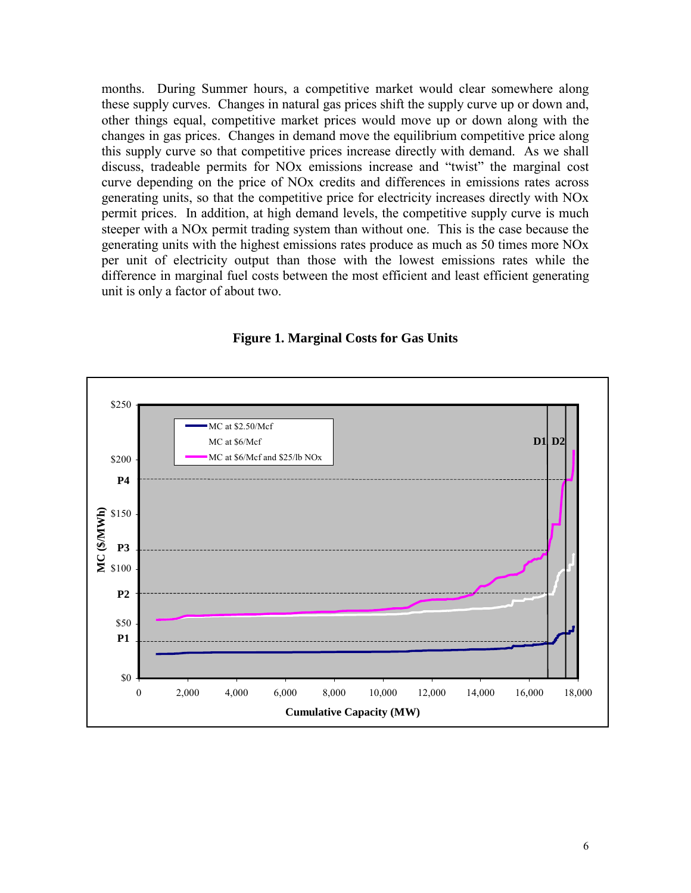months. During Summer hours, a competitive market would clear somewhere along these supply curves. Changes in natural gas prices shift the supply curve up or down and, other things equal, competitive market prices would move up or down along with the changes in gas prices. Changes in demand move the equilibrium competitive price along this supply curve so that competitive prices increase directly with demand. As we shall discuss, tradeable permits for NO<sub>x</sub> emissions increase and "twist" the marginal cost curve depending on the price of NOx credits and differences in emissions rates across generating units, so that the competitive price for electricity increases directly with NOx permit prices. In addition, at high demand levels, the competitive supply curve is much steeper with a NOx permit trading system than without one. This is the case because the generating units with the highest emissions rates produce as much as 50 times more NOx per unit of electricity output than those with the lowest emissions rates while the difference in marginal fuel costs between the most efficient and least efficient generating unit is only a factor of about two.



### **Figure 1. Marginal Costs for Gas Units**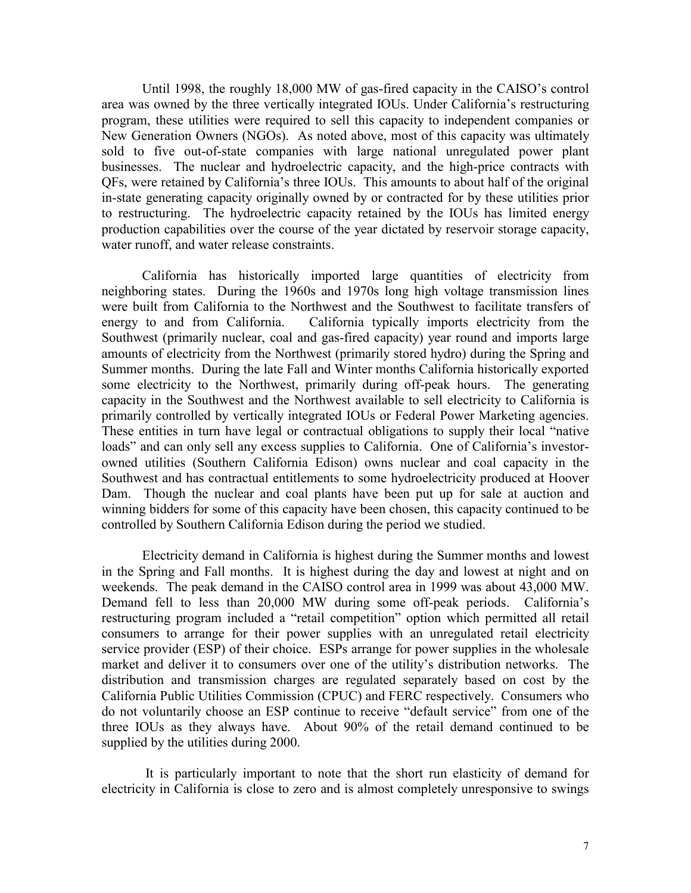Until 1998, the roughly 18,000 MW of gas-fired capacity in the CAISO's control area was owned by the three vertically integrated IOUs. Under California's restructuring program, these utilities were required to sell this capacity to independent companies or New Generation Owners (NGOs). As noted above, most of this capacity was ultimately sold to five out-of-state companies with large national unregulated power plant businesses. The nuclear and hydroelectric capacity, and the high-price contracts with QFs, were retained by Californiaís three IOUs. This amounts to about half of the original in-state generating capacity originally owned by or contracted for by these utilities prior to restructuring. The hydroelectric capacity retained by the IOUs has limited energy production capabilities over the course of the year dictated by reservoir storage capacity, water runoff, and water release constraints.

 California has historically imported large quantities of electricity from neighboring states. During the 1960s and 1970s long high voltage transmission lines were built from California to the Northwest and the Southwest to facilitate transfers of energy to and from California. California typically imports electricity from the Southwest (primarily nuclear, coal and gas-fired capacity) year round and imports large amounts of electricity from the Northwest (primarily stored hydro) during the Spring and Summer months. During the late Fall and Winter months California historically exported some electricity to the Northwest, primarily during off-peak hours. The generating capacity in the Southwest and the Northwest available to sell electricity to California is primarily controlled by vertically integrated IOUs or Federal Power Marketing agencies. These entities in turn have legal or contractual obligations to supply their local "native" loads" and can only sell any excess supplies to California. One of California's investorowned utilities (Southern California Edison) owns nuclear and coal capacity in the Southwest and has contractual entitlements to some hydroelectricity produced at Hoover Dam. Though the nuclear and coal plants have been put up for sale at auction and winning bidders for some of this capacity have been chosen, this capacity continued to be controlled by Southern California Edison during the period we studied.

 Electricity demand in California is highest during the Summer months and lowest in the Spring and Fall months. It is highest during the day and lowest at night and on weekends. The peak demand in the CAISO control area in 1999 was about 43,000 MW. Demand fell to less than 20,000 MW during some off-peak periods. California's restructuring program included a "retail competition" option which permitted all retail consumers to arrange for their power supplies with an unregulated retail electricity service provider (ESP) of their choice. ESPs arrange for power supplies in the wholesale market and deliver it to consumers over one of the utility's distribution networks. The distribution and transmission charges are regulated separately based on cost by the California Public Utilities Commission (CPUC) and FERC respectively. Consumers who do not voluntarily choose an ESP continue to receive "default service" from one of the three IOUs as they always have. About 90% of the retail demand continued to be supplied by the utilities during 2000.

 It is particularly important to note that the short run elasticity of demand for electricity in California is close to zero and is almost completely unresponsive to swings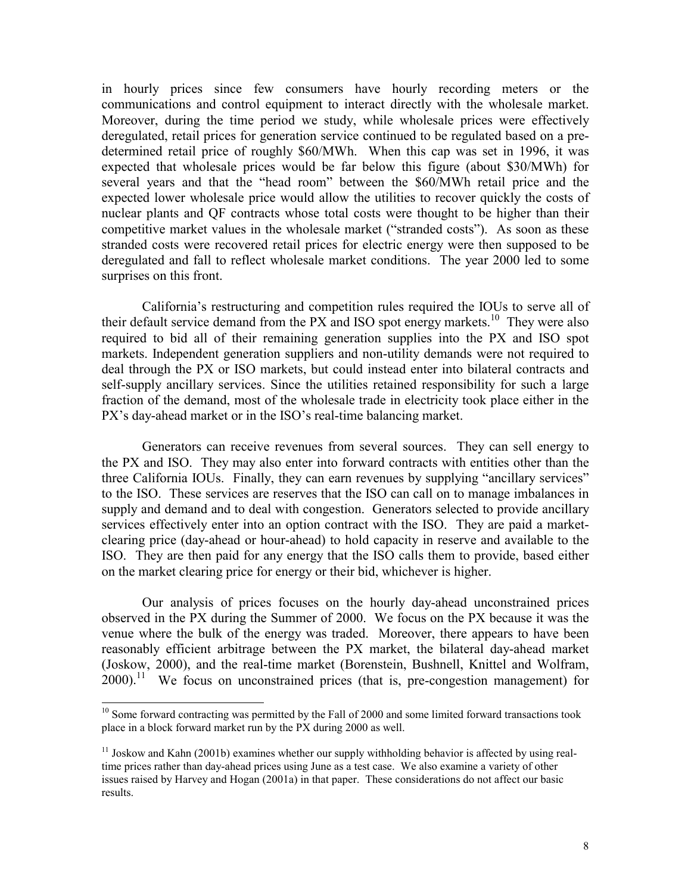in hourly prices since few consumers have hourly recording meters or the communications and control equipment to interact directly with the wholesale market. Moreover, during the time period we study, while wholesale prices were effectively deregulated, retail prices for generation service continued to be regulated based on a predetermined retail price of roughly \$60/MWh. When this cap was set in 1996, it was expected that wholesale prices would be far below this figure (about \$30/MWh) for several years and that the "head room" between the \$60/MWh retail price and the expected lower wholesale price would allow the utilities to recover quickly the costs of nuclear plants and QF contracts whose total costs were thought to be higher than their competitive market values in the wholesale market ("stranded costs"). As soon as these stranded costs were recovered retail prices for electric energy were then supposed to be deregulated and fall to reflect wholesale market conditions. The year 2000 led to some surprises on this front.

 Californiaís restructuring and competition rules required the IOUs to serve all of their default service demand from the PX and ISO spot energy markets.<sup>10</sup> They were also required to bid all of their remaining generation supplies into the PX and ISO spot markets. Independent generation suppliers and non-utility demands were not required to deal through the PX or ISO markets, but could instead enter into bilateral contracts and self-supply ancillary services. Since the utilities retained responsibility for such a large fraction of the demand, most of the wholesale trade in electricity took place either in the PX's day-ahead market or in the ISO's real-time balancing market.

 Generators can receive revenues from several sources. They can sell energy to the PX and ISO. They may also enter into forward contracts with entities other than the three California IOUs. Finally, they can earn revenues by supplying "ancillary services" to the ISO. These services are reserves that the ISO can call on to manage imbalances in supply and demand and to deal with congestion. Generators selected to provide ancillary services effectively enter into an option contract with the ISO. They are paid a marketclearing price (day-ahead or hour-ahead) to hold capacity in reserve and available to the ISO. They are then paid for any energy that the ISO calls them to provide, based either on the market clearing price for energy or their bid, whichever is higher.

Our analysis of prices focuses on the hourly day-ahead unconstrained prices observed in the PX during the Summer of 2000. We focus on the PX because it was the venue where the bulk of the energy was traded. Moreover, there appears to have been reasonably efficient arbitrage between the PX market, the bilateral day-ahead market (Joskow, 2000), and the real-time market (Borenstein, Bushnell, Knittel and Wolfram,  $2000$ .<sup>11</sup> We focus on unconstrained prices (that is, pre-congestion management) for

 $10$  Some forward contracting was permitted by the Fall of 2000 and some limited forward transactions took place in a block forward market run by the PX during 2000 as well.

 $11$  Joskow and Kahn (2001b) examines whether our supply withholding behavior is affected by using realtime prices rather than day-ahead prices using June as a test case. We also examine a variety of other issues raised by Harvey and Hogan (2001a) in that paper. These considerations do not affect our basic results.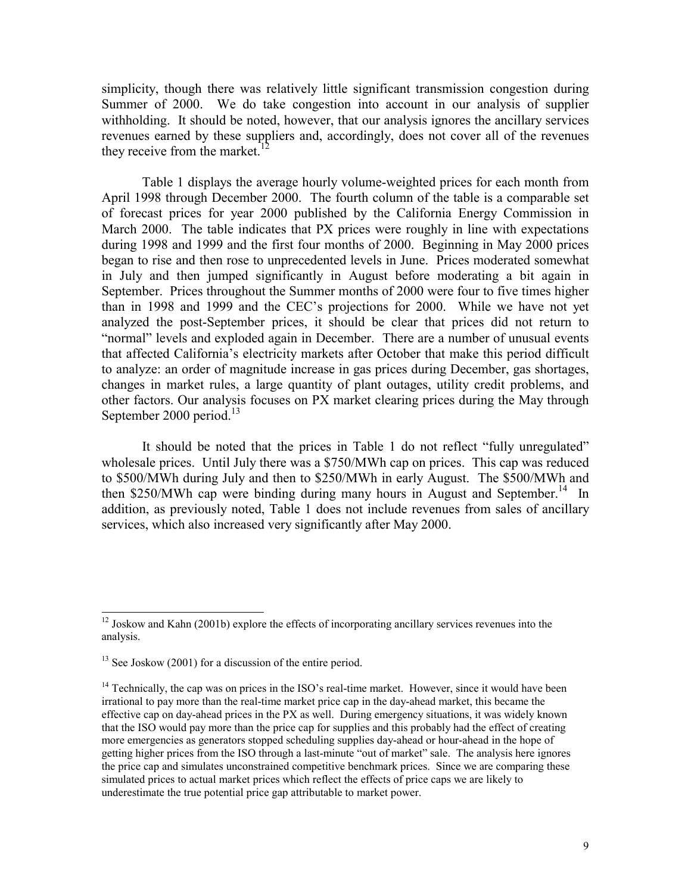simplicity, though there was relatively little significant transmission congestion during Summer of 2000. We do take congestion into account in our analysis of supplier withholding. It should be noted, however, that our analysis ignores the ancillary services revenues earned by these suppliers and, accordingly, does not cover all of the revenues they receive from the market.<sup>12</sup>

 Table 1 displays the average hourly volume-weighted prices for each month from April 1998 through December 2000. The fourth column of the table is a comparable set of forecast prices for year 2000 published by the California Energy Commission in March 2000. The table indicates that PX prices were roughly in line with expectations during 1998 and 1999 and the first four months of 2000. Beginning in May 2000 prices began to rise and then rose to unprecedented levels in June. Prices moderated somewhat in July and then jumped significantly in August before moderating a bit again in September. Prices throughout the Summer months of 2000 were four to five times higher than in 1998 and 1999 and the CEC's projections for 2000. While we have not yet analyzed the post-September prices, it should be clear that prices did not return to "normal" levels and exploded again in December. There are a number of unusual events that affected Californiaís electricity markets after October that make this period difficult to analyze: an order of magnitude increase in gas prices during December, gas shortages, changes in market rules, a large quantity of plant outages, utility credit problems, and other factors. Our analysis focuses on PX market clearing prices during the May through September 2000 period. $^{13}$ 

It should be noted that the prices in Table 1 do not reflect "fully unregulated" wholesale prices. Until July there was a \$750/MWh cap on prices. This cap was reduced to \$500/MWh during July and then to \$250/MWh in early August. The \$500/MWh and then \$250/MWh cap were binding during many hours in August and September.<sup>14</sup> In addition, as previously noted, Table 1 does not include revenues from sales of ancillary services, which also increased very significantly after May 2000.

 $12$  Joskow and Kahn (2001b) explore the effects of incorporating ancillary services revenues into the analysis.

<sup>&</sup>lt;sup>13</sup> See Joskow (2001) for a discussion of the entire period.

 $<sup>14</sup>$  Technically, the cap was on prices in the ISO's real-time market. However, since it would have been</sup> irrational to pay more than the real-time market price cap in the day-ahead market, this became the effective cap on day-ahead prices in the PX as well. During emergency situations, it was widely known that the ISO would pay more than the price cap for supplies and this probably had the effect of creating more emergencies as generators stopped scheduling supplies day-ahead or hour-ahead in the hope of getting higher prices from the ISO through a last-minute "out of market" sale. The analysis here ignores the price cap and simulates unconstrained competitive benchmark prices. Since we are comparing these simulated prices to actual market prices which reflect the effects of price caps we are likely to underestimate the true potential price gap attributable to market power.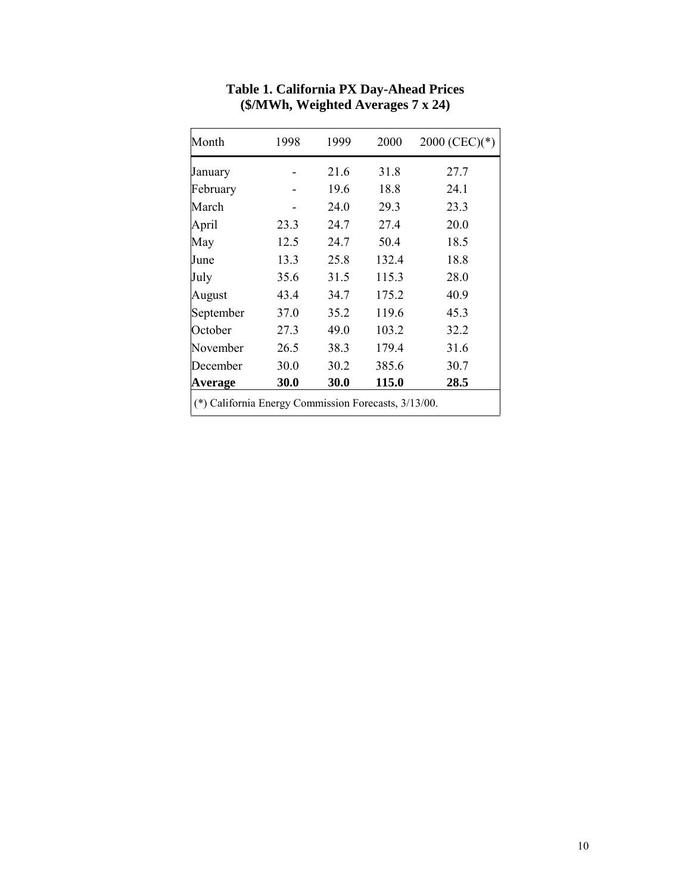| Month                                                | 1998 | 1999 | 2000  | $2000$ (CEC)(*) |
|------------------------------------------------------|------|------|-------|-----------------|
| January                                              |      | 21.6 | 31.8  | 27.7            |
| February                                             |      | 19.6 | 18.8  | 24.1            |
| March                                                |      | 24.0 | 29.3  | 23.3            |
| April                                                | 23.3 | 24.7 | 27.4  | 20.0            |
| May                                                  | 12.5 | 24.7 | 50.4  | 18.5            |
| June                                                 | 13.3 | 25.8 | 132.4 | 18.8            |
| July                                                 | 35.6 | 31.5 | 115.3 | 28.0            |
| August                                               | 43.4 | 34.7 | 175.2 | 40.9            |
| September                                            | 37.0 | 35.2 | 119.6 | 45.3            |
| October                                              | 27.3 | 49.0 | 103.2 | 32.2            |
| November                                             | 26.5 | 38.3 | 179.4 | 31.6            |
| December                                             | 30.0 | 30.2 | 385.6 | 30.7            |
| Average                                              | 30.0 | 30.0 | 115.0 | 28.5            |
| (*) California Energy Commission Forecasts, 3/13/00. |      |      |       |                 |

**Table 1. California PX Day-Ahead Prices (\$/MWh, Weighted Averages 7 x 24)**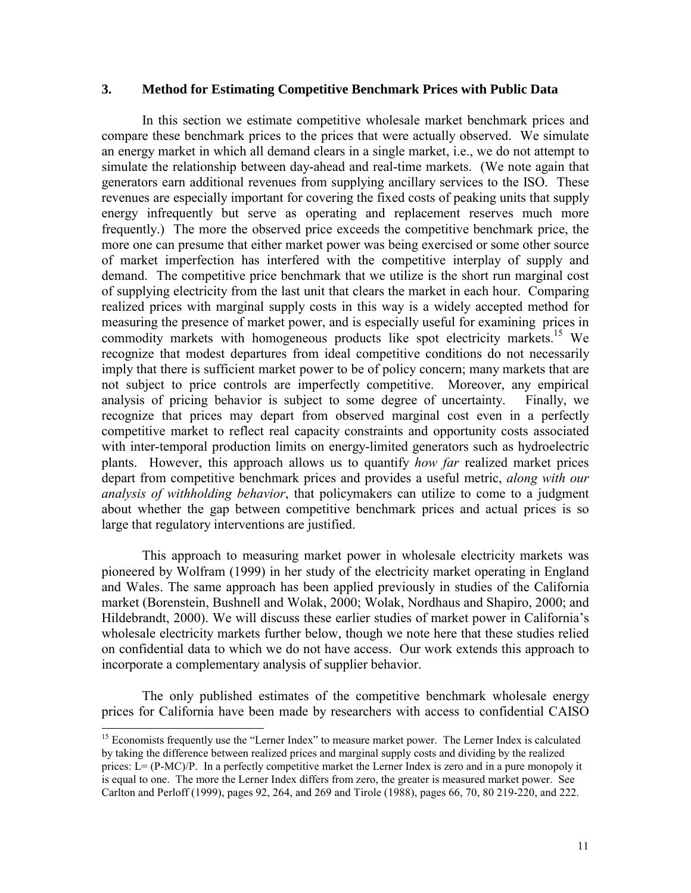### **3. Method for Estimating Competitive Benchmark Prices with Public Data**

In this section we estimate competitive wholesale market benchmark prices and compare these benchmark prices to the prices that were actually observed. We simulate an energy market in which all demand clears in a single market, i.e., we do not attempt to simulate the relationship between day-ahead and real-time markets. (We note again that generators earn additional revenues from supplying ancillary services to the ISO. These revenues are especially important for covering the fixed costs of peaking units that supply energy infrequently but serve as operating and replacement reserves much more frequently.) The more the observed price exceeds the competitive benchmark price, the more one can presume that either market power was being exercised or some other source of market imperfection has interfered with the competitive interplay of supply and demand. The competitive price benchmark that we utilize is the short run marginal cost of supplying electricity from the last unit that clears the market in each hour. Comparing realized prices with marginal supply costs in this way is a widely accepted method for measuring the presence of market power, and is especially useful for examining prices in commodity markets with homogeneous products like spot electricity markets.<sup>15</sup> We recognize that modest departures from ideal competitive conditions do not necessarily imply that there is sufficient market power to be of policy concern; many markets that are not subject to price controls are imperfectly competitive. Moreover, any empirical analysis of pricing behavior is subject to some degree of uncertainty. Finally, we recognize that prices may depart from observed marginal cost even in a perfectly competitive market to reflect real capacity constraints and opportunity costs associated with inter-temporal production limits on energy-limited generators such as hydroelectric plants. However, this approach allows us to quantify *how far* realized market prices depart from competitive benchmark prices and provides a useful metric, *along with our analysis of withholding behavior*, that policymakers can utilize to come to a judgment about whether the gap between competitive benchmark prices and actual prices is so large that regulatory interventions are justified.

This approach to measuring market power in wholesale electricity markets was pioneered by Wolfram (1999) in her study of the electricity market operating in England and Wales. The same approach has been applied previously in studies of the California market (Borenstein, Bushnell and Wolak, 2000; Wolak, Nordhaus and Shapiro, 2000; and Hildebrandt, 2000). We will discuss these earlier studies of market power in California's wholesale electricity markets further below, though we note here that these studies relied on confidential data to which we do not have access. Our work extends this approach to incorporate a complementary analysis of supplier behavior.

The only published estimates of the competitive benchmark wholesale energy prices for California have been made by researchers with access to confidential CAISO

<sup>&</sup>lt;sup>15</sup> Economists frequently use the "Lerner Index" to measure market power. The Lerner Index is calculated by taking the difference between realized prices and marginal supply costs and dividing by the realized prices: L= (P-MC)/P. In a perfectly competitive market the Lerner Index is zero and in a pure monopoly it is equal to one. The more the Lerner Index differs from zero, the greater is measured market power. See Carlton and Perloff (1999), pages 92, 264, and 269 and Tirole (1988), pages 66, 70, 80 219-220, and 222.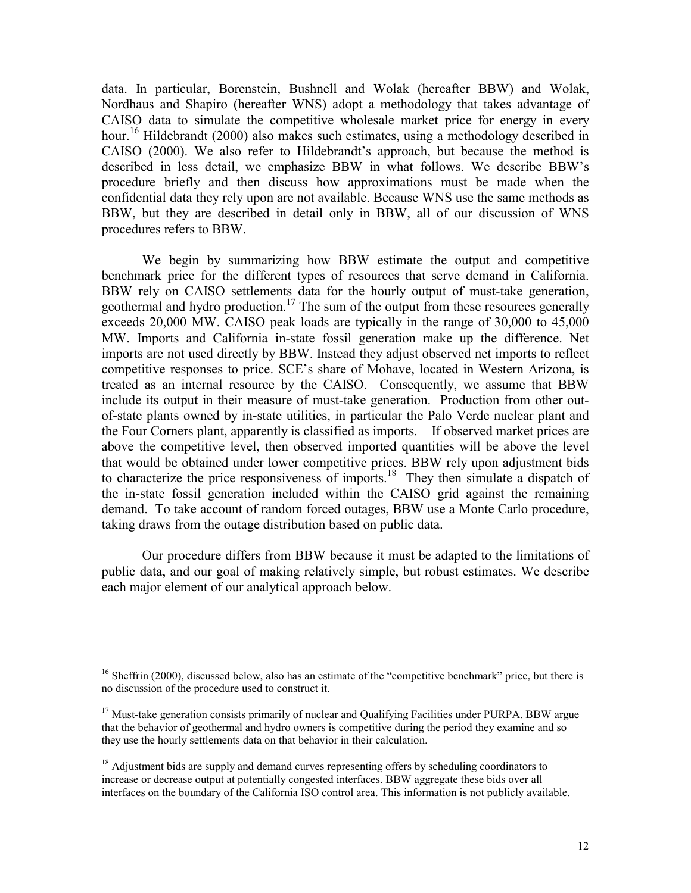data. In particular, Borenstein, Bushnell and Wolak (hereafter BBW) and Wolak, Nordhaus and Shapiro (hereafter WNS) adopt a methodology that takes advantage of CAISO data to simulate the competitive wholesale market price for energy in every hour.<sup>16</sup> Hildebrandt (2000) also makes such estimates, using a methodology described in CAISO (2000). We also refer to Hildebrandt's approach, but because the method is described in less detail, we emphasize BBW in what follows. We describe BBW's procedure briefly and then discuss how approximations must be made when the confidential data they rely upon are not available. Because WNS use the same methods as BBW, but they are described in detail only in BBW, all of our discussion of WNS procedures refers to BBW.

We begin by summarizing how BBW estimate the output and competitive benchmark price for the different types of resources that serve demand in California. BBW rely on CAISO settlements data for the hourly output of must-take generation, geothermal and hydro production.<sup>17</sup> The sum of the output from these resources generally exceeds 20,000 MW. CAISO peak loads are typically in the range of 30,000 to 45,000 MW. Imports and California in-state fossil generation make up the difference. Net imports are not used directly by BBW. Instead they adjust observed net imports to reflect competitive responses to price. SCE's share of Mohave, located in Western Arizona, is treated as an internal resource by the CAISO. Consequently, we assume that BBW include its output in their measure of must-take generation. Production from other outof-state plants owned by in-state utilities, in particular the Palo Verde nuclear plant and the Four Corners plant, apparently is classified as imports. If observed market prices are above the competitive level, then observed imported quantities will be above the level that would be obtained under lower competitive prices. BBW rely upon adjustment bids to characterize the price responsiveness of imports.<sup>18</sup> They then simulate a dispatch of the in-state fossil generation included within the CAISO grid against the remaining demand. To take account of random forced outages, BBW use a Monte Carlo procedure, taking draws from the outage distribution based on public data.

Our procedure differs from BBW because it must be adapted to the limitations of public data, and our goal of making relatively simple, but robust estimates. We describe each major element of our analytical approach below.

 $16$  Sheffrin (2000), discussed below, also has an estimate of the "competitive benchmark" price, but there is no discussion of the procedure used to construct it.

 $17$  Must-take generation consists primarily of nuclear and Qualifying Facilities under PURPA. BBW argue that the behavior of geothermal and hydro owners is competitive during the period they examine and so they use the hourly settlements data on that behavior in their calculation.

 $18$  Adjustment bids are supply and demand curves representing offers by scheduling coordinators to increase or decrease output at potentially congested interfaces. BBW aggregate these bids over all interfaces on the boundary of the California ISO control area. This information is not publicly available.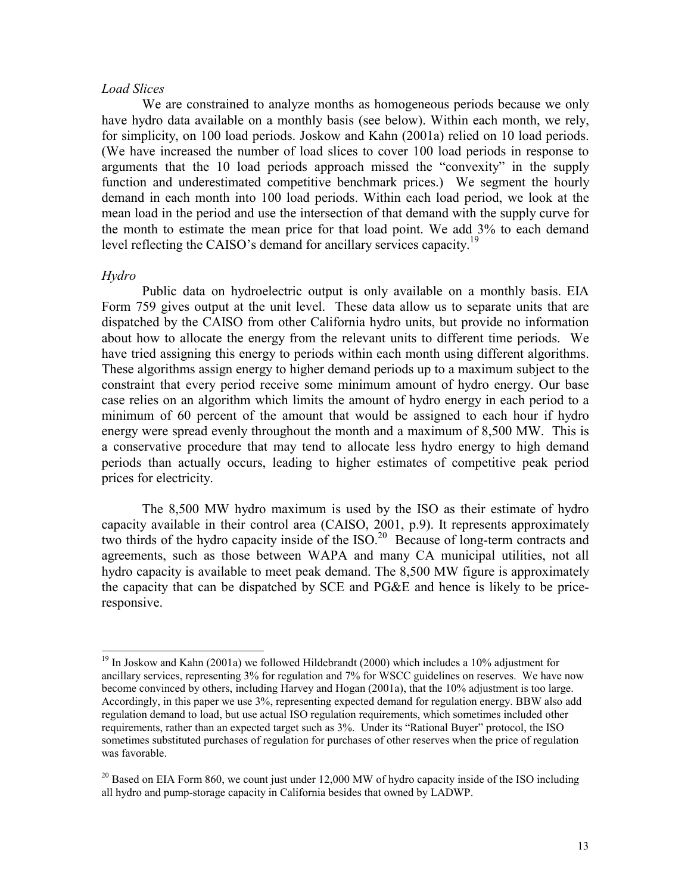### *Load Slices*

We are constrained to analyze months as homogeneous periods because we only have hydro data available on a monthly basis (see below). Within each month, we rely, for simplicity, on 100 load periods. Joskow and Kahn (2001a) relied on 10 load periods. (We have increased the number of load slices to cover 100 load periods in response to arguments that the 10 load periods approach missed the "convexity" in the supply function and underestimated competitive benchmark prices.) We segment the hourly demand in each month into 100 load periods. Within each load period, we look at the mean load in the period and use the intersection of that demand with the supply curve for the month to estimate the mean price for that load point. We add 3% to each demand level reflecting the CAISO's demand for ancillary services capacity.<sup>19</sup>

#### *Hydro*

 $\overline{a}$ 

Public data on hydroelectric output is only available on a monthly basis. EIA Form 759 gives output at the unit level. These data allow us to separate units that are dispatched by the CAISO from other California hydro units, but provide no information about how to allocate the energy from the relevant units to different time periods. We have tried assigning this energy to periods within each month using different algorithms. These algorithms assign energy to higher demand periods up to a maximum subject to the constraint that every period receive some minimum amount of hydro energy. Our base case relies on an algorithm which limits the amount of hydro energy in each period to a minimum of 60 percent of the amount that would be assigned to each hour if hydro energy were spread evenly throughout the month and a maximum of 8,500 MW. This is a conservative procedure that may tend to allocate less hydro energy to high demand periods than actually occurs, leading to higher estimates of competitive peak period prices for electricity.

The 8,500 MW hydro maximum is used by the ISO as their estimate of hydro capacity available in their control area (CAISO, 2001, p.9). It represents approximately two thirds of the hydro capacity inside of the ISO.<sup>20</sup> Because of long-term contracts and agreements, such as those between WAPA and many CA municipal utilities, not all hydro capacity is available to meet peak demand. The 8,500 MW figure is approximately the capacity that can be dispatched by SCE and PG&E and hence is likely to be priceresponsive.

<sup>&</sup>lt;sup>19</sup> In Joskow and Kahn (2001a) we followed Hildebrandt (2000) which includes a 10% adjustment for ancillary services, representing 3% for regulation and 7% for WSCC guidelines on reserves. We have now become convinced by others, including Harvey and Hogan (2001a), that the 10% adjustment is too large. Accordingly, in this paper we use 3%, representing expected demand for regulation energy. BBW also add regulation demand to load, but use actual ISO regulation requirements, which sometimes included other requirements, rather than an expected target such as  $3\%$ . Under its "Rational Buyer" protocol, the ISO sometimes substituted purchases of regulation for purchases of other reserves when the price of regulation was favorable.

<sup>&</sup>lt;sup>20</sup> Based on EIA Form 860, we count just under 12,000 MW of hydro capacity inside of the ISO including all hydro and pump-storage capacity in California besides that owned by LADWP.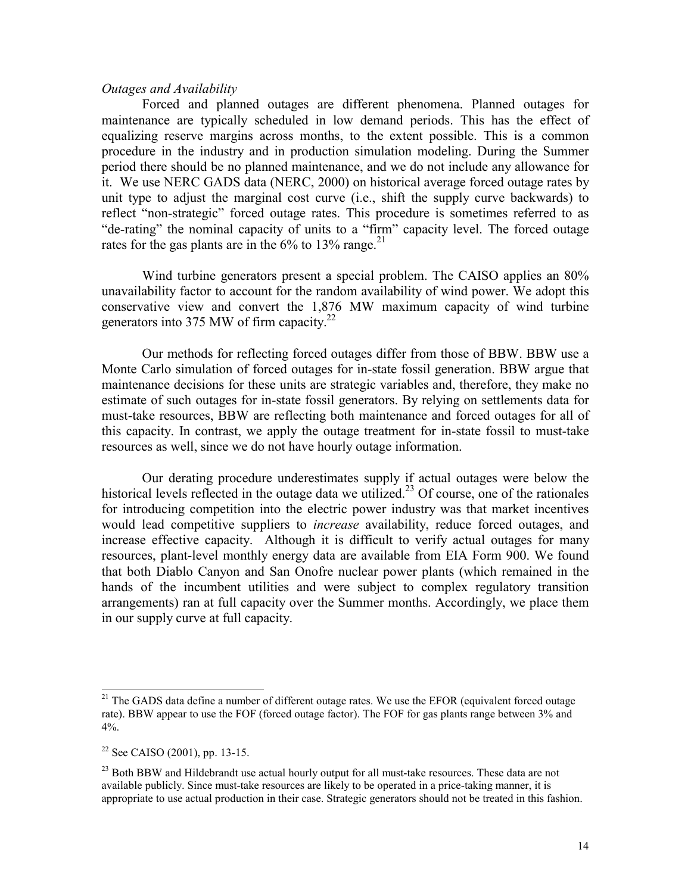#### *Outages and Availability*

Forced and planned outages are different phenomena. Planned outages for maintenance are typically scheduled in low demand periods. This has the effect of equalizing reserve margins across months, to the extent possible. This is a common procedure in the industry and in production simulation modeling. During the Summer period there should be no planned maintenance, and we do not include any allowance for it. We use NERC GADS data (NERC, 2000) on historical average forced outage rates by unit type to adjust the marginal cost curve (i.e., shift the supply curve backwards) to reflect "non-strategic" forced outage rates. This procedure is sometimes referred to as "de-rating" the nominal capacity of units to a "firm" capacity level. The forced outage rates for the gas plants are in the  $6\%$  to 13% range.<sup>21</sup>

Wind turbine generators present a special problem. The CAISO applies an 80% unavailability factor to account for the random availability of wind power. We adopt this conservative view and convert the 1,876 MW maximum capacity of wind turbine generators into 375 MW of firm capacity. $2^2$ 

Our methods for reflecting forced outages differ from those of BBW. BBW use a Monte Carlo simulation of forced outages for in-state fossil generation. BBW argue that maintenance decisions for these units are strategic variables and, therefore, they make no estimate of such outages for in-state fossil generators. By relying on settlements data for must-take resources, BBW are reflecting both maintenance and forced outages for all of this capacity. In contrast, we apply the outage treatment for in-state fossil to must-take resources as well, since we do not have hourly outage information.

Our derating procedure underestimates supply if actual outages were below the historical levels reflected in the outage data we utilized.<sup>23</sup> Of course, one of the rationales for introducing competition into the electric power industry was that market incentives would lead competitive suppliers to *increase* availability, reduce forced outages, and increase effective capacity. Although it is difficult to verify actual outages for many resources, plant-level monthly energy data are available from EIA Form 900. We found that both Diablo Canyon and San Onofre nuclear power plants (which remained in the hands of the incumbent utilities and were subject to complex regulatory transition arrangements) ran at full capacity over the Summer months. Accordingly, we place them in our supply curve at full capacity.

<sup>&</sup>lt;sup>21</sup> The GADS data define a number of different outage rates. We use the EFOR (equivalent forced outage rate). BBW appear to use the FOF (forced outage factor). The FOF for gas plants range between 3% and 4%.

 $22$  See CAISO (2001), pp. 13-15.

<sup>&</sup>lt;sup>23</sup> Both BBW and Hildebrandt use actual hourly output for all must-take resources. These data are not available publicly. Since must-take resources are likely to be operated in a price-taking manner, it is appropriate to use actual production in their case. Strategic generators should not be treated in this fashion.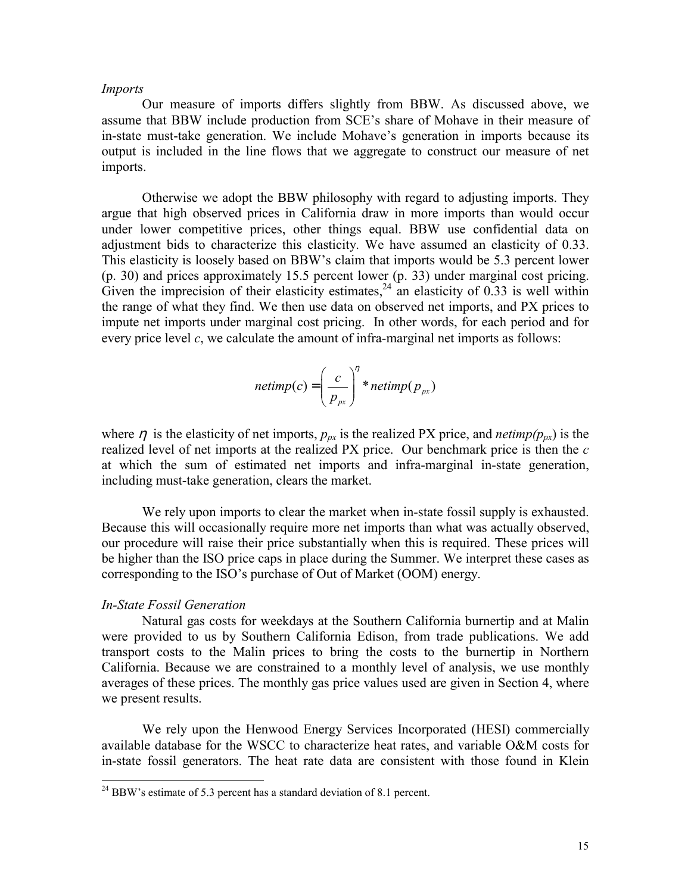#### *Imports*

Our measure of imports differs slightly from BBW. As discussed above, we assume that BBW include production from SCE's share of Mohave in their measure of in-state must-take generation. We include Mohave's generation in imports because its output is included in the line flows that we aggregate to construct our measure of net imports.

Otherwise we adopt the BBW philosophy with regard to adjusting imports. They argue that high observed prices in California draw in more imports than would occur under lower competitive prices, other things equal. BBW use confidential data on adjustment bids to characterize this elasticity. We have assumed an elasticity of 0.33. This elasticity is loosely based on BBW's claim that imports would be 5.3 percent lower (p. 30) and prices approximately 15.5 percent lower (p. 33) under marginal cost pricing. Given the imprecision of their elasticity estimates,  $24$  an elasticity of 0.33 is well within the range of what they find. We then use data on observed net imports, and PX prices to impute net imports under marginal cost pricing. In other words, for each period and for every price level *c*, we calculate the amount of infra-marginal net imports as follows:

$$
netimp(c) = \left(\frac{c}{p_{px}}\right)^n * netimp(p_{px})
$$

where  $\eta$  is the elasticity of net imports,  $p_{px}$  is the realized PX price, and *netimp(p<sub>px</sub>*) is the realized level of net imports at the realized PX price. Our benchmark price is then the *c* at which the sum of estimated net imports and infra-marginal in-state generation, including must-take generation, clears the market.

We rely upon imports to clear the market when in-state fossil supply is exhausted. Because this will occasionally require more net imports than what was actually observed, our procedure will raise their price substantially when this is required. These prices will be higher than the ISO price caps in place during the Summer. We interpret these cases as corresponding to the ISO's purchase of Out of Market (OOM) energy.

#### *In-State Fossil Generation*

 $\overline{a}$ 

Natural gas costs for weekdays at the Southern California burnertip and at Malin were provided to us by Southern California Edison, from trade publications. We add transport costs to the Malin prices to bring the costs to the burnertip in Northern California. Because we are constrained to a monthly level of analysis, we use monthly averages of these prices. The monthly gas price values used are given in Section 4, where we present results.

We rely upon the Henwood Energy Services Incorporated (HESI) commercially available database for the WSCC to characterize heat rates, and variable O&M costs for in-state fossil generators. The heat rate data are consistent with those found in Klein

 $^{24}$  BBW's estimate of 5.3 percent has a standard deviation of 8.1 percent.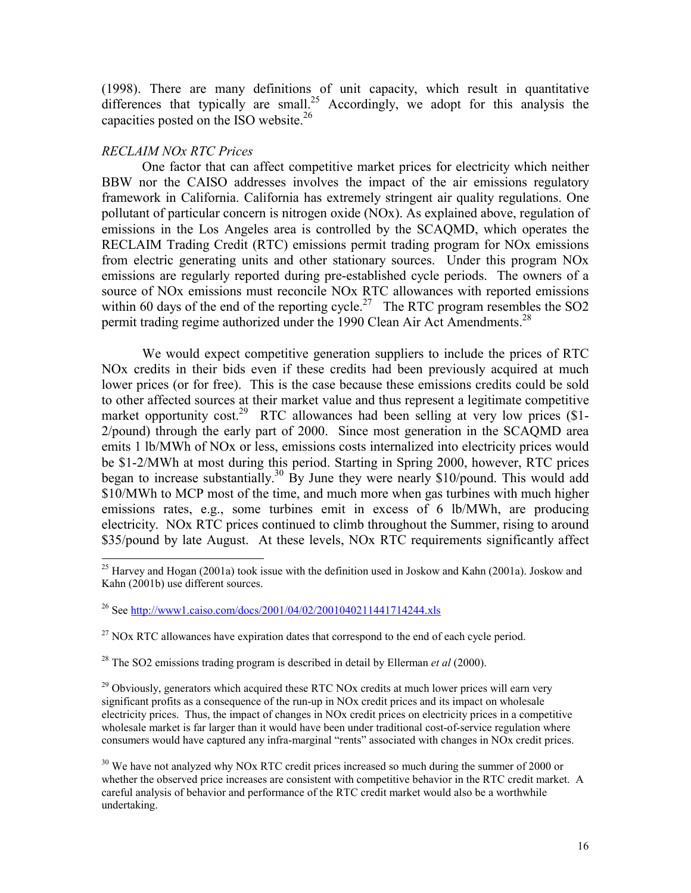(1998). There are many definitions of unit capacity, which result in quantitative differences that typically are small.<sup>25</sup> Accordingly, we adopt for this analysis the capacities posted on the ISO website.<sup>26</sup>

### *RECLAIM NOx RTC Prices*

 $\overline{a}$ 

One factor that can affect competitive market prices for electricity which neither BBW nor the CAISO addresses involves the impact of the air emissions regulatory framework in California. California has extremely stringent air quality regulations. One pollutant of particular concern is nitrogen oxide (NOx). As explained above, regulation of emissions in the Los Angeles area is controlled by the SCAQMD, which operates the RECLAIM Trading Credit (RTC) emissions permit trading program for NOx emissions from electric generating units and other stationary sources. Under this program NOx emissions are regularly reported during pre-established cycle periods. The owners of a source of NOx emissions must reconcile NOx RTC allowances with reported emissions within 60 days of the end of the reporting cycle.<sup>27</sup> The RTC program resembles the SO2 permit trading regime authorized under the 1990 Clean Air Act Amendments.<sup>28</sup>

We would expect competitive generation suppliers to include the prices of RTC NOx credits in their bids even if these credits had been previously acquired at much lower prices (or for free). This is the case because these emissions credits could be sold to other affected sources at their market value and thus represent a legitimate competitive market opportunity cost.<sup>29</sup> RTC allowances had been selling at very low prices (\$1-2/pound) through the early part of 2000. Since most generation in the SCAQMD area emits 1 lb/MWh of NOx or less, emissions costs internalized into electricity prices would be \$1-2/MWh at most during this period. Starting in Spring 2000, however, RTC prices began to increase substantially.<sup>30</sup> By June they were nearly \$10/pound. This would add \$10/MWh to MCP most of the time, and much more when gas turbines with much higher emissions rates, e.g., some turbines emit in excess of 6 lb/MWh, are producing electricity. NOx RTC prices continued to climb throughout the Summer, rising to around \$35/pound by late August. At these levels, NOx RTC requirements significantly affect

28 The SO2 emissions trading program is described in detail by Ellerman *et al* (2000).

 $^{29}$  Obviously, generators which acquired these RTC NOx credits at much lower prices will earn very significant profits as a consequence of the run-up in NOx credit prices and its impact on wholesale electricity prices. Thus, the impact of changes in NOx credit prices on electricity prices in a competitive wholesale market is far larger than it would have been under traditional cost-of-service regulation where consumers would have captured any infra-marginal "rents" associated with changes in NO<sub>x</sub> credit prices.

 $30$  We have not analyzed why NOx RTC credit prices increased so much during the summer of 2000 or whether the observed price increases are consistent with competitive behavior in the RTC credit market. A careful analysis of behavior and performance of the RTC credit market would also be a worthwhile undertaking.

<sup>&</sup>lt;sup>25</sup> Harvey and Hogan (2001a) took issue with the definition used in Joskow and Kahn (2001a). Joskow and Kahn (2001b) use different sources.

<sup>&</sup>lt;sup>26</sup> See http://www1.caiso.com/docs/2001/04/02/2001040211441714244.xls

 $27$  NOx RTC allowances have expiration dates that correspond to the end of each cycle period.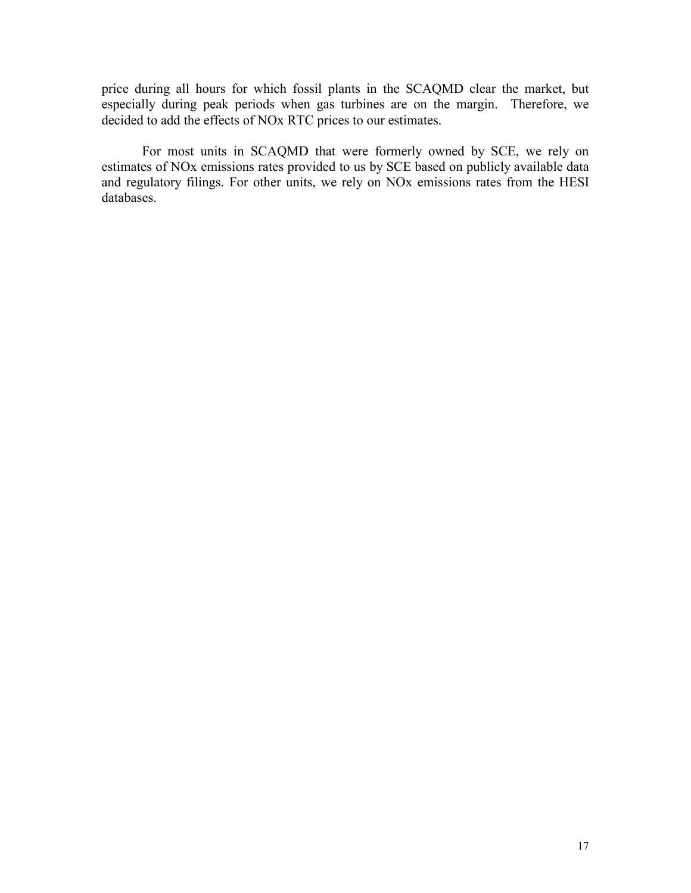price during all hours for which fossil plants in the SCAQMD clear the market, but especially during peak periods when gas turbines are on the margin. Therefore, we decided to add the effects of NOx RTC prices to our estimates.

For most units in SCAQMD that were formerly owned by SCE, we rely on estimates of NOx emissions rates provided to us by SCE based on publicly available data and regulatory filings. For other units, we rely on NOx emissions rates from the HESI databases.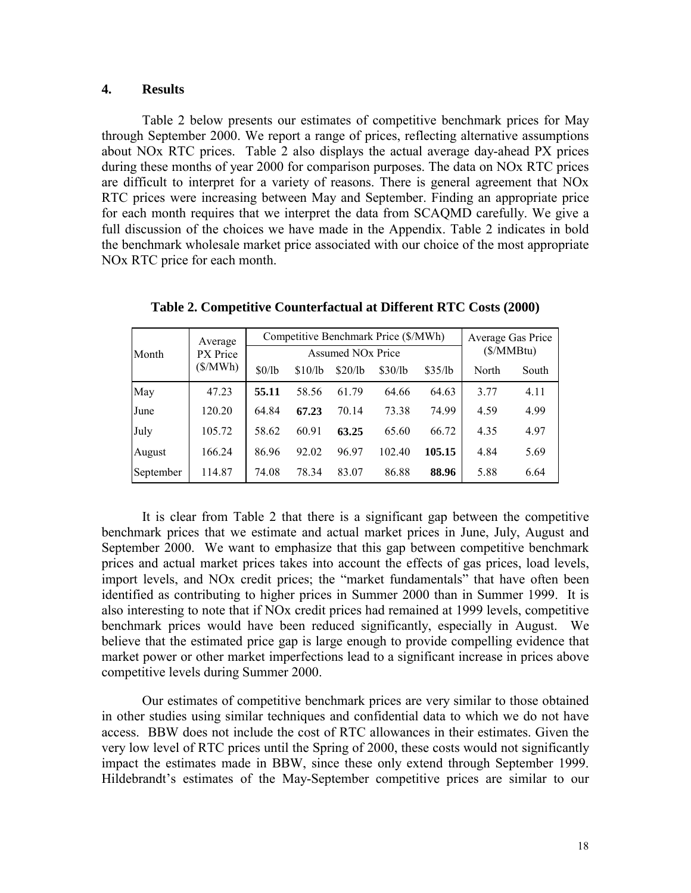### **4. Results**

Table 2 below presents our estimates of competitive benchmark prices for May through September 2000. We report a range of prices, reflecting alternative assumptions about NOx RTC prices. Table 2 also displays the actual average day-ahead PX prices during these months of year 2000 for comparison purposes. The data on NOx RTC prices are difficult to interpret for a variety of reasons. There is general agreement that NOx RTC prices were increasing between May and September. Finding an appropriate price for each month requires that we interpret the data from SCAQMD carefully. We give a full discussion of the choices we have made in the Appendix. Table 2 indicates in bold the benchmark wholesale market price associated with our choice of the most appropriate NOx RTC price for each month.

|           | Average           |        | Competitive Benchmark Price (\$/MWh) | Average Gas Price<br>(S/MMBtu) |         |         |       |       |
|-----------|-------------------|--------|--------------------------------------|--------------------------------|---------|---------|-------|-------|
| Month     | PX Price          |        | <b>Assumed NO<sub>x</sub></b> Price  |                                |         |         |       |       |
|           | $(\frac{S}{MWh})$ | \$0/lb | \$10/lb                              | \$20/lb                        | \$30/lb | \$35/lb | North | South |
| May       | 47.23             | 55.11  | 58.56                                | 61.79                          | 64.66   | 64.63   | 3.77  | 4.11  |
| June      | 120.20            | 64.84  | 67.23                                | 70.14                          | 73.38   | 74.99   | 4.59  | 4.99  |
| July      | 105.72            | 58.62  | 60.91                                | 63.25                          | 65.60   | 66.72   | 4.35  | 4.97  |
| August    | 166.24            | 86.96  | 92.02                                | 96.97                          | 102.40  | 105.15  | 4.84  | 5.69  |
| September | 114.87            | 74.08  | 78.34                                | 83.07                          | 86.88   | 88.96   | 5.88  | 6.64  |

**Table 2. Competitive Counterfactual at Different RTC Costs (2000)** 

It is clear from Table 2 that there is a significant gap between the competitive benchmark prices that we estimate and actual market prices in June, July, August and September 2000. We want to emphasize that this gap between competitive benchmark prices and actual market prices takes into account the effects of gas prices, load levels, import levels, and NO<sub>x</sub> credit prices; the "market fundamentals" that have often been identified as contributing to higher prices in Summer 2000 than in Summer 1999. It is also interesting to note that if NOx credit prices had remained at 1999 levels, competitive benchmark prices would have been reduced significantly, especially in August. We believe that the estimated price gap is large enough to provide compelling evidence that market power or other market imperfections lead to a significant increase in prices above competitive levels during Summer 2000.

Our estimates of competitive benchmark prices are very similar to those obtained in other studies using similar techniques and confidential data to which we do not have access. BBW does not include the cost of RTC allowances in their estimates. Given the very low level of RTC prices until the Spring of 2000, these costs would not significantly impact the estimates made in BBW, since these only extend through September 1999. Hildebrandt's estimates of the May-September competitive prices are similar to our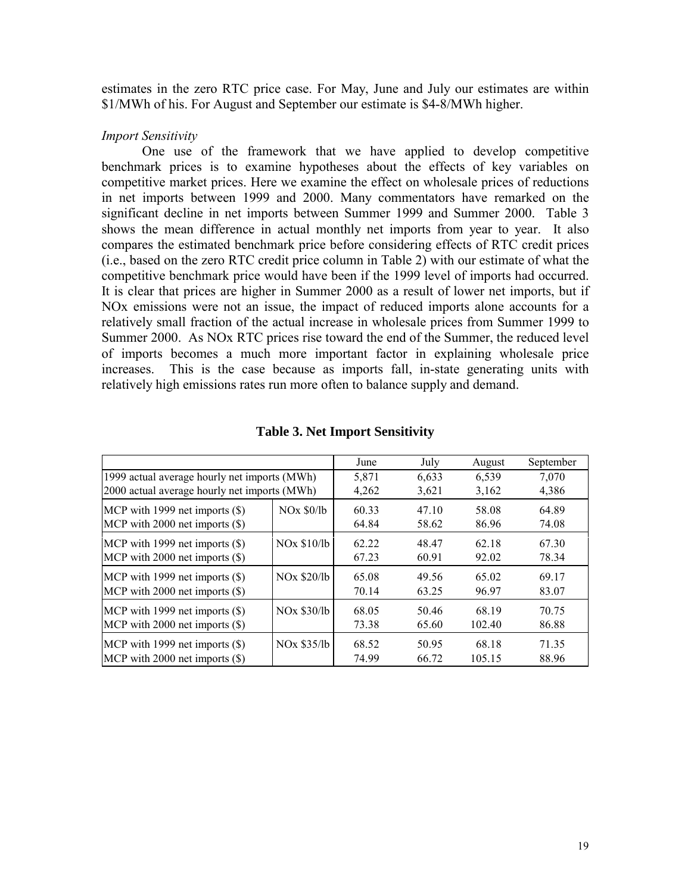estimates in the zero RTC price case. For May, June and July our estimates are within \$1/MWh of his. For August and September our estimate is \$4-8/MWh higher.

#### *Import Sensitivity*

One use of the framework that we have applied to develop competitive benchmark prices is to examine hypotheses about the effects of key variables on competitive market prices. Here we examine the effect on wholesale prices of reductions in net imports between 1999 and 2000. Many commentators have remarked on the significant decline in net imports between Summer 1999 and Summer 2000. Table 3 shows the mean difference in actual monthly net imports from year to year. It also compares the estimated benchmark price before considering effects of RTC credit prices (i.e., based on the zero RTC credit price column in Table 2) with our estimate of what the competitive benchmark price would have been if the 1999 level of imports had occurred. It is clear that prices are higher in Summer 2000 as a result of lower net imports, but if NOx emissions were not an issue, the impact of reduced imports alone accounts for a relatively small fraction of the actual increase in wholesale prices from Summer 1999 to Summer 2000. As NOx RTC prices rise toward the end of the Summer, the reduced level of imports becomes a much more important factor in explaining wholesale price increases. This is the case because as imports fall, in-state generating units with relatively high emissions rates run more often to balance supply and demand.

|                                              |               | June  | July  | August | September |
|----------------------------------------------|---------------|-------|-------|--------|-----------|
| 1999 actual average hourly net imports (MWh) |               | 5,871 | 6,633 | 6,539  | 7,070     |
| 2000 actual average hourly net imports (MWh) |               | 4,262 | 3,621 | 3,162  | 4,386     |
| MCP with 1999 net imports (\$)               | $NOx$ \$0/lb  | 60.33 | 47.10 | 58.08  | 64.89     |
| MCP with $2000$ net imports $(\$)$           |               | 64.84 | 58.62 | 86.96  | 74.08     |
| MCP with 1999 net imports $(\$)$             | $NOX$ \$10/lb | 62.22 | 48.47 | 62.18  | 67.30     |
| MCP with $2000$ net imports $(\$)$           |               | 67.23 | 60.91 | 92.02  | 78.34     |
| MCP with 1999 net imports $(\$)$             | $NOx$ \$20/lb | 65.08 | 49.56 | 65.02  | 69.17     |
| MCP with 2000 net imports (\$)               |               | 70.14 | 63.25 | 96.97  | 83.07     |
| MCP with 1999 net imports $(\$)$             | $NOx$ \$30/lb | 68.05 | 50.46 | 68.19  | 70.75     |
| MCP with $2000$ net imports $(\$)$           |               | 73.38 | 65.60 | 102.40 | 86.88     |
| MCP with 1999 net imports $(\$)$             | $NQx$ \$35/lb | 68.52 | 50.95 | 68.18  | 71.35     |
| MCP with 2000 net imports $(\$)$             |               | 74.99 | 66.72 | 105.15 | 88.96     |

**Table 3. Net Import Sensitivity**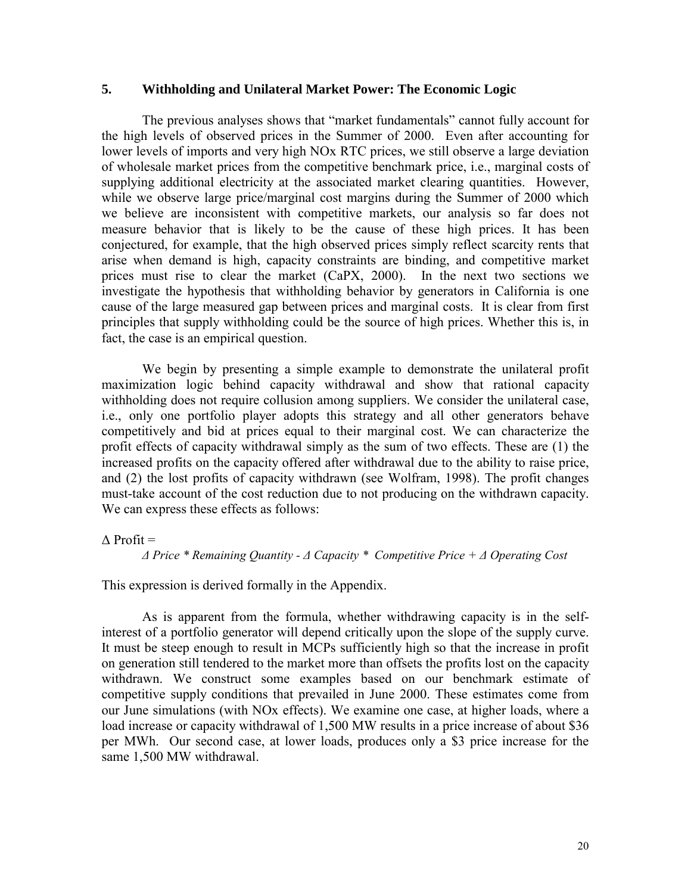### **5. Withholding and Unilateral Market Power: The Economic Logic**

The previous analyses shows that "market fundamentals" cannot fully account for the high levels of observed prices in the Summer of 2000. Even after accounting for lower levels of imports and very high NOx RTC prices, we still observe a large deviation of wholesale market prices from the competitive benchmark price, i.e., marginal costs of supplying additional electricity at the associated market clearing quantities. However, while we observe large price/marginal cost margins during the Summer of 2000 which we believe are inconsistent with competitive markets, our analysis so far does not measure behavior that is likely to be the cause of these high prices. It has been conjectured, for example, that the high observed prices simply reflect scarcity rents that arise when demand is high, capacity constraints are binding, and competitive market prices must rise to clear the market (CaPX, 2000). In the next two sections we investigate the hypothesis that withholding behavior by generators in California is one cause of the large measured gap between prices and marginal costs. It is clear from first principles that supply withholding could be the source of high prices. Whether this is, in fact, the case is an empirical question.

We begin by presenting a simple example to demonstrate the unilateral profit maximization logic behind capacity withdrawal and show that rational capacity withholding does not require collusion among suppliers. We consider the unilateral case, i.e., only one portfolio player adopts this strategy and all other generators behave competitively and bid at prices equal to their marginal cost. We can characterize the profit effects of capacity withdrawal simply as the sum of two effects. These are (1) the increased profits on the capacity offered after withdrawal due to the ability to raise price, and (2) the lost profits of capacity withdrawn (see Wolfram, 1998). The profit changes must-take account of the cost reduction due to not producing on the withdrawn capacity. We can express these effects as follows:

### $\triangle$  Profit =

*∆ Price \* Remaining Quantity - ∆ Capacity \* Competitive Price + ∆ Operating Cost*

This expression is derived formally in the Appendix.

As is apparent from the formula, whether withdrawing capacity is in the selfinterest of a portfolio generator will depend critically upon the slope of the supply curve. It must be steep enough to result in MCPs sufficiently high so that the increase in profit on generation still tendered to the market more than offsets the profits lost on the capacity withdrawn. We construct some examples based on our benchmark estimate of competitive supply conditions that prevailed in June 2000. These estimates come from our June simulations (with NOx effects). We examine one case, at higher loads, where a load increase or capacity withdrawal of 1,500 MW results in a price increase of about \$36 per MWh. Our second case, at lower loads, produces only a \$3 price increase for the same 1,500 MW withdrawal.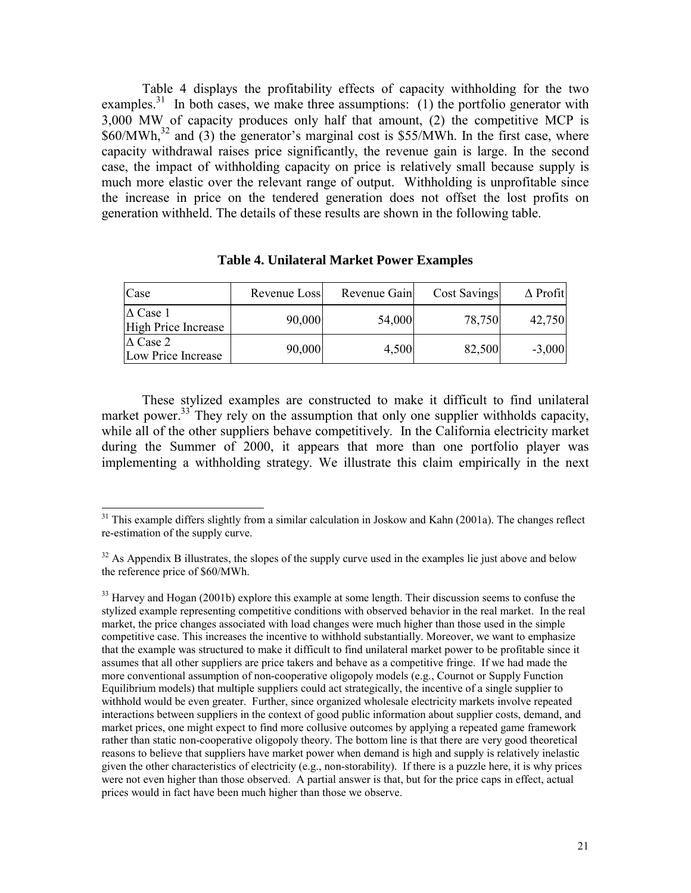Table 4 displays the profitability effects of capacity withholding for the two examples.<sup>31</sup> In both cases, we make three assumptions: (1) the portfolio generator with 3,000 MW of capacity produces only half that amount, (2) the competitive MCP is  $$60/MWh<sup>32</sup>$  and (3) the generator's marginal cost is \$55/MWh. In the first case, where capacity withdrawal raises price significantly, the revenue gain is large. In the second case, the impact of withholding capacity on price is relatively small because supply is much more elastic over the relevant range of output. Withholding is unprofitable since the increase in price on the tendered generation does not offset the lost profits on generation withheld. The details of these results are shown in the following table.

| Case                                      | Revenue Loss | Revenue Gain | <b>Cost Savings</b> | $\Delta$ Profit |
|-------------------------------------------|--------------|--------------|---------------------|-----------------|
| $\triangle$ Case 1<br>High Price Increase | 90,000       | 54,000       | 78,750              | 42,750          |
| $\triangle$ Case 2<br>Low Price Increase  | 90,000       | 4,500        | 82,500              | $-3,000$        |

**Table 4. Unilateral Market Power Examples** 

These stylized examples are constructed to make it difficult to find unilateral market power.<sup>33</sup> They rely on the assumption that only one supplier withholds capacity, while all of the other suppliers behave competitively. In the California electricity market during the Summer of 2000, it appears that more than one portfolio player was implementing a withholding strategy. We illustrate this claim empirically in the next

 $31$  This example differs slightly from a similar calculation in Joskow and Kahn (2001a). The changes reflect re-estimation of the supply curve.

 $32$  As Appendix B illustrates, the slopes of the supply curve used in the examples lie just above and below the reference price of \$60/MWh.

<sup>&</sup>lt;sup>33</sup> Harvey and Hogan (2001b) explore this example at some length. Their discussion seems to confuse the stylized example representing competitive conditions with observed behavior in the real market. In the real market, the price changes associated with load changes were much higher than those used in the simple competitive case. This increases the incentive to withhold substantially. Moreover, we want to emphasize that the example was structured to make it difficult to find unilateral market power to be profitable since it assumes that all other suppliers are price takers and behave as a competitive fringe. If we had made the more conventional assumption of non-cooperative oligopoly models (e.g., Cournot or Supply Function Equilibrium models) that multiple suppliers could act strategically, the incentive of a single supplier to withhold would be even greater. Further, since organized wholesale electricity markets involve repeated interactions between suppliers in the context of good public information about supplier costs, demand, and market prices, one might expect to find more collusive outcomes by applying a repeated game framework rather than static non-cooperative oligopoly theory. The bottom line is that there are very good theoretical reasons to believe that suppliers have market power when demand is high and supply is relatively inelastic given the other characteristics of electricity (e.g., non-storability). If there is a puzzle here, it is why prices were not even higher than those observed. A partial answer is that, but for the price caps in effect, actual prices would in fact have been much higher than those we observe.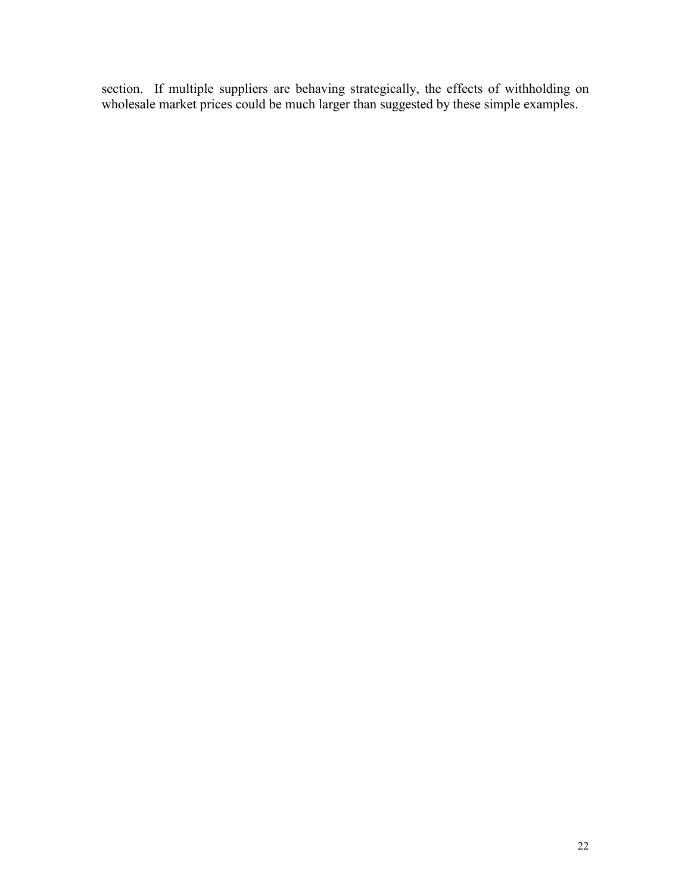section. If multiple suppliers are behaving strategically, the effects of withholding on wholesale market prices could be much larger than suggested by these simple examples.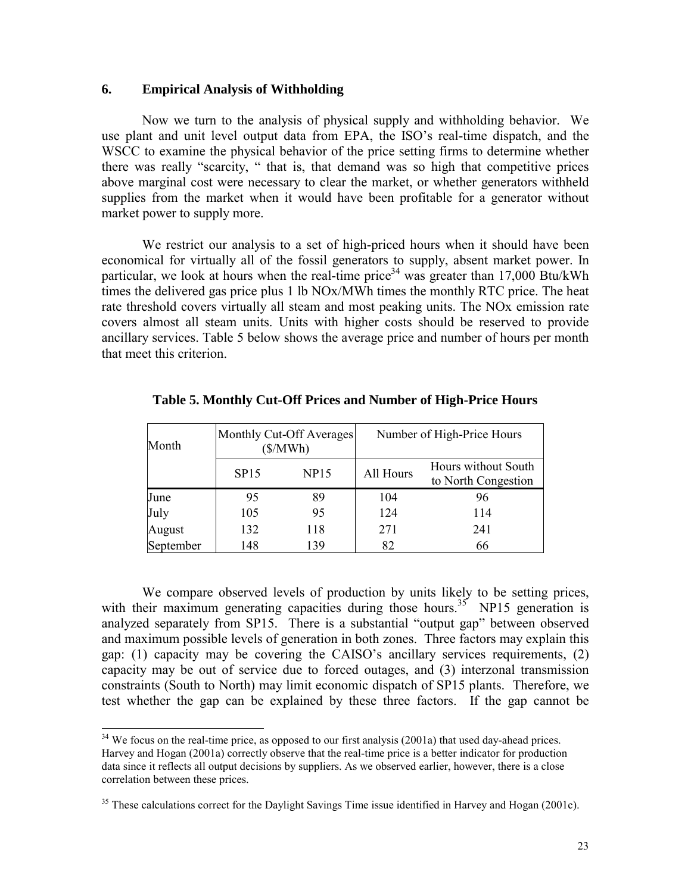### **6. Empirical Analysis of Withholding**

Now we turn to the analysis of physical supply and withholding behavior. We use plant and unit level output data from EPA, the ISO's real-time dispatch, and the WSCC to examine the physical behavior of the price setting firms to determine whether there was really "scarcity, " that is, that demand was so high that competitive prices above marginal cost were necessary to clear the market, or whether generators withheld supplies from the market when it would have been profitable for a generator without market power to supply more.

We restrict our analysis to a set of high-priced hours when it should have been economical for virtually all of the fossil generators to supply, absent market power. In particular, we look at hours when the real-time price<sup>34</sup> was greater than 17,000 Btu/kWh times the delivered gas price plus 1 lb NOx/MWh times the monthly RTC price. The heat rate threshold covers virtually all steam and most peaking units. The NOx emission rate covers almost all steam units. Units with higher costs should be reserved to provide ancillary services. Table 5 below shows the average price and number of hours per month that meet this criterion.

| Month     | Monthly Cut-Off Averages<br>$(\frac{S}{MWh})$ |      | Number of High-Price Hours |                                            |  |  |
|-----------|-----------------------------------------------|------|----------------------------|--------------------------------------------|--|--|
|           | SP <sub>15</sub>                              | NP15 | All Hours                  | Hours without South<br>to North Congestion |  |  |
| June      | 95                                            | 89   | 104                        | 96                                         |  |  |
| July      | 105                                           | 95   | 124                        | 114                                        |  |  |
| August    | 132                                           | 118  | 271                        | 241                                        |  |  |
| September | 148                                           | 139  | 82                         | 66                                         |  |  |

**Table 5. Monthly Cut-Off Prices and Number of High-Price Hours** 

We compare observed levels of production by units likely to be setting prices, with their maximum generating capacities during those hours.<sup>35</sup> NP15 generation is analyzed separately from SP15. There is a substantial "output gap" between observed and maximum possible levels of generation in both zones. Three factors may explain this gap: (1) capacity may be covering the CAISO's ancillary services requirements,  $(2)$ capacity may be out of service due to forced outages, and (3) interzonal transmission constraints (South to North) may limit economic dispatch of SP15 plants. Therefore, we test whether the gap can be explained by these three factors. If the gap cannot be

 $34$  We focus on the real-time price, as opposed to our first analysis (2001a) that used day-ahead prices. Harvey and Hogan (2001a) correctly observe that the real-time price is a better indicator for production data since it reflects all output decisions by suppliers. As we observed earlier, however, there is a close correlation between these prices.

<sup>&</sup>lt;sup>35</sup> These calculations correct for the Daylight Savings Time issue identified in Harvey and Hogan (2001c).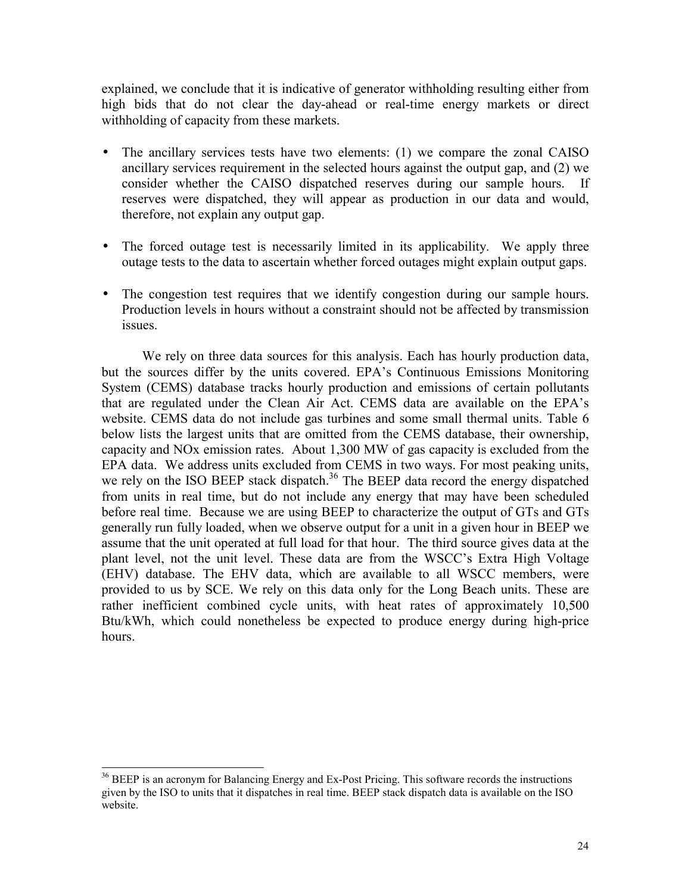explained, we conclude that it is indicative of generator withholding resulting either from high bids that do not clear the day-ahead or real-time energy markets or direct withholding of capacity from these markets.

- The ancillary services tests have two elements: (1) we compare the zonal CAISO ancillary services requirement in the selected hours against the output gap, and (2) we consider whether the CAISO dispatched reserves during our sample hours. If reserves were dispatched, they will appear as production in our data and would, therefore, not explain any output gap.
- The forced outage test is necessarily limited in its applicability. We apply three outage tests to the data to ascertain whether forced outages might explain output gaps.
- The congestion test requires that we identify congestion during our sample hours. Production levels in hours without a constraint should not be affected by transmission issues.

We rely on three data sources for this analysis. Each has hourly production data, but the sources differ by the units covered. EPA's Continuous Emissions Monitoring System (CEMS) database tracks hourly production and emissions of certain pollutants that are regulated under the Clean Air Act. CEMS data are available on the EPA's website. CEMS data do not include gas turbines and some small thermal units. Table 6 below lists the largest units that are omitted from the CEMS database, their ownership, capacity and NOx emission rates. About 1,300 MW of gas capacity is excluded from the EPA data. We address units excluded from CEMS in two ways. For most peaking units, we rely on the ISO BEEP stack dispatch.<sup>36</sup> The BEEP data record the energy dispatched from units in real time, but do not include any energy that may have been scheduled before real time. Because we are using BEEP to characterize the output of GTs and GTs generally run fully loaded, when we observe output for a unit in a given hour in BEEP we assume that the unit operated at full load for that hour. The third source gives data at the plant level, not the unit level. These data are from the WSCC's Extra High Voltage (EHV) database. The EHV data, which are available to all WSCC members, were provided to us by SCE. We rely on this data only for the Long Beach units. These are rather inefficient combined cycle units, with heat rates of approximately 10,500 Btu/kWh, which could nonetheless be expected to produce energy during high-price hours.

<sup>&</sup>lt;sup>36</sup> BEEP is an acronym for Balancing Energy and Ex-Post Pricing. This software records the instructions given by the ISO to units that it dispatches in real time. BEEP stack dispatch data is available on the ISO website.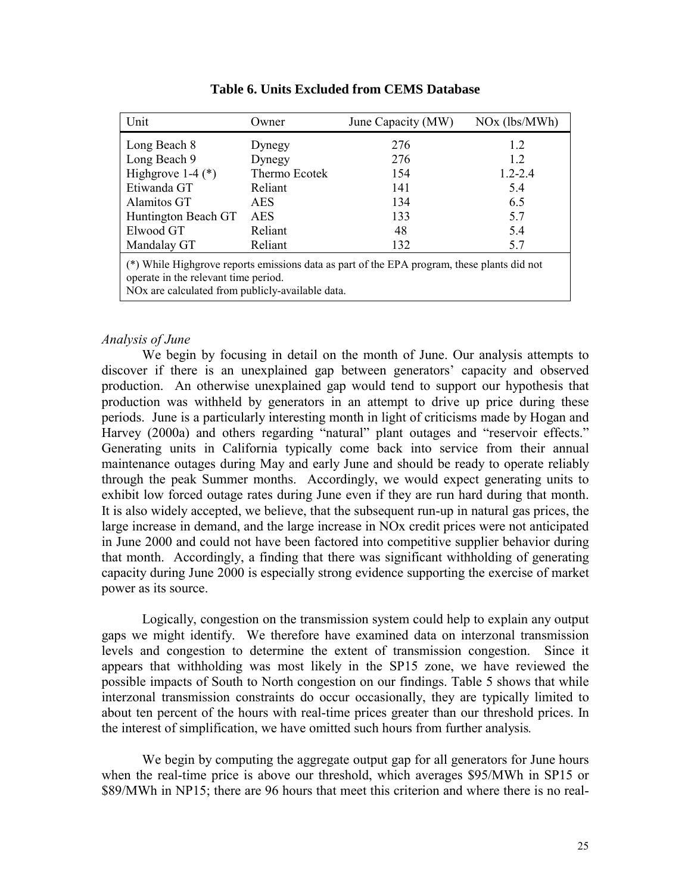| Unit                                                                                     | Owner         | June Capacity (MW)                                                                          | $NOx$ (lbs/ $MWh$ ) |
|------------------------------------------------------------------------------------------|---------------|---------------------------------------------------------------------------------------------|---------------------|
| Long Beach 8                                                                             | Dynegy        | 276                                                                                         | 1.2                 |
| Long Beach 9                                                                             | Dynegy        | 276                                                                                         | 1.2                 |
| Highgrove 1-4 $(*)$                                                                      | Thermo Ecotek | 154                                                                                         | $1.2 - 2.4$         |
| Etiwanda GT                                                                              | Reliant       | 141                                                                                         | 5.4                 |
| Alamitos GT                                                                              | <b>AES</b>    | 134                                                                                         | 6.5                 |
| Huntington Beach GT                                                                      | <b>AES</b>    | 133                                                                                         | 5.7                 |
| Elwood GT                                                                                | Reliant       | 48                                                                                          | 5.4                 |
| Mandalay GT                                                                              | Reliant       | 132                                                                                         | 5.7                 |
| operate in the relevant time period.<br>NOx are calculated from publicly-available data. |               | (*) While Highgrove reports emissions data as part of the EPA program, these plants did not |                     |

**Table 6. Units Excluded from CEMS Database** 

#### *Analysis of June*

We begin by focusing in detail on the month of June. Our analysis attempts to discover if there is an unexplained gap between generators' capacity and observed production. An otherwise unexplained gap would tend to support our hypothesis that production was withheld by generators in an attempt to drive up price during these periods. June is a particularly interesting month in light of criticisms made by Hogan and Harvey (2000a) and others regarding "natural" plant outages and "reservoir effects." Generating units in California typically come back into service from their annual maintenance outages during May and early June and should be ready to operate reliably through the peak Summer months. Accordingly, we would expect generating units to exhibit low forced outage rates during June even if they are run hard during that month. It is also widely accepted, we believe, that the subsequent run-up in natural gas prices, the large increase in demand, and the large increase in NOx credit prices were not anticipated in June 2000 and could not have been factored into competitive supplier behavior during that month. Accordingly, a finding that there was significant withholding of generating capacity during June 2000 is especially strong evidence supporting the exercise of market power as its source.

Logically, congestion on the transmission system could help to explain any output gaps we might identify. We therefore have examined data on interzonal transmission levels and congestion to determine the extent of transmission congestion. Since it appears that withholding was most likely in the SP15 zone, we have reviewed the possible impacts of South to North congestion on our findings. Table 5 shows that while interzonal transmission constraints do occur occasionally, they are typically limited to about ten percent of the hours with real-time prices greater than our threshold prices. In the interest of simplification, we have omitted such hours from further analysis*.* 

We begin by computing the aggregate output gap for all generators for June hours when the real-time price is above our threshold, which averages \$95/MWh in SP15 or \$89/MWh in NP15; there are 96 hours that meet this criterion and where there is no real-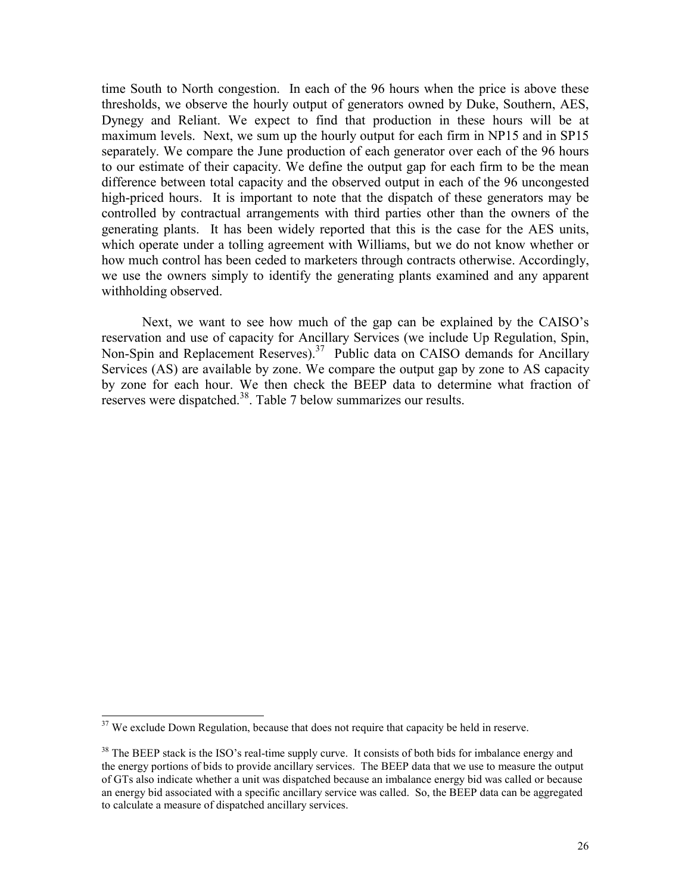time South to North congestion. In each of the 96 hours when the price is above these thresholds, we observe the hourly output of generators owned by Duke, Southern, AES, Dynegy and Reliant. We expect to find that production in these hours will be at maximum levels. Next, we sum up the hourly output for each firm in NP15 and in SP15 separately. We compare the June production of each generator over each of the 96 hours to our estimate of their capacity. We define the output gap for each firm to be the mean difference between total capacity and the observed output in each of the 96 uncongested high-priced hours. It is important to note that the dispatch of these generators may be controlled by contractual arrangements with third parties other than the owners of the generating plants. It has been widely reported that this is the case for the AES units, which operate under a tolling agreement with Williams, but we do not know whether or how much control has been ceded to marketers through contracts otherwise. Accordingly, we use the owners simply to identify the generating plants examined and any apparent withholding observed.

Next, we want to see how much of the gap can be explained by the CAISO's reservation and use of capacity for Ancillary Services (we include Up Regulation, Spin, Non-Spin and Replacement Reserves).37 Public data on CAISO demands for Ancillary Services (AS) are available by zone. We compare the output gap by zone to AS capacity by zone for each hour. We then check the BEEP data to determine what fraction of reserves were dispatched.<sup>38</sup>. Table 7 below summarizes our results.

 $37$  We exclude Down Regulation, because that does not require that capacity be held in reserve.

<sup>&</sup>lt;sup>38</sup> The BEEP stack is the ISO's real-time supply curve. It consists of both bids for imbalance energy and the energy portions of bids to provide ancillary services. The BEEP data that we use to measure the output of GTs also indicate whether a unit was dispatched because an imbalance energy bid was called or because an energy bid associated with a specific ancillary service was called. So, the BEEP data can be aggregated to calculate a measure of dispatched ancillary services.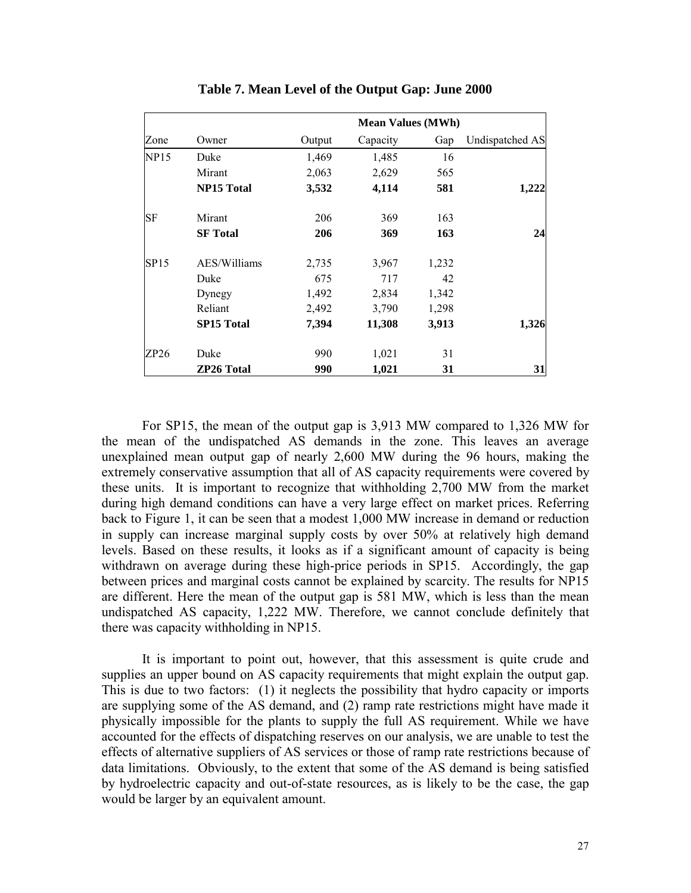|           |                   | <b>Mean Values (MWh)</b> |          |       |                 |  |  |  |
|-----------|-------------------|--------------------------|----------|-------|-----------------|--|--|--|
| Zone      | Owner             | Output                   | Capacity | Gap   | Undispatched AS |  |  |  |
| NP15      | Duke              | 1,469                    | 1,485    | 16    |                 |  |  |  |
|           | Mirant            | 2,063                    | 2,629    | 565   |                 |  |  |  |
|           | <b>NP15 Total</b> | 3,532                    | 4,114    | 581   | 1,222           |  |  |  |
| <b>SF</b> | Mirant            | 206                      | 369      | 163   |                 |  |  |  |
|           | <b>SF</b> Total   | 206                      | 369      | 163   | 24              |  |  |  |
| SP15      | AES/Williams      | 2,735                    | 3,967    | 1,232 |                 |  |  |  |
|           | Duke              | 675                      | 717      | 42    |                 |  |  |  |
|           | Dynegy            | 1,492                    | 2,834    | 1,342 |                 |  |  |  |
|           | Reliant           | 2,492                    | 3,790    | 1,298 |                 |  |  |  |
|           | <b>SP15 Total</b> | 7,394                    | 11,308   | 3,913 | 1,326           |  |  |  |
| ZP26      | Duke              | 990                      | 1,021    | 31    |                 |  |  |  |
|           | <b>ZP26 Total</b> | 990                      | 1,021    | 31    | 31              |  |  |  |

**Table 7. Mean Level of the Output Gap: June 2000** 

For SP15, the mean of the output gap is 3,913 MW compared to 1,326 MW for the mean of the undispatched AS demands in the zone. This leaves an average unexplained mean output gap of nearly 2,600 MW during the 96 hours, making the extremely conservative assumption that all of AS capacity requirements were covered by these units. It is important to recognize that withholding 2,700 MW from the market during high demand conditions can have a very large effect on market prices. Referring back to Figure 1, it can be seen that a modest 1,000 MW increase in demand or reduction in supply can increase marginal supply costs by over 50% at relatively high demand levels. Based on these results, it looks as if a significant amount of capacity is being withdrawn on average during these high-price periods in SP15. Accordingly, the gap between prices and marginal costs cannot be explained by scarcity. The results for NP15 are different. Here the mean of the output gap is 581 MW, which is less than the mean undispatched AS capacity, 1,222 MW. Therefore, we cannot conclude definitely that there was capacity withholding in NP15.

It is important to point out, however, that this assessment is quite crude and supplies an upper bound on AS capacity requirements that might explain the output gap. This is due to two factors: (1) it neglects the possibility that hydro capacity or imports are supplying some of the AS demand, and (2) ramp rate restrictions might have made it physically impossible for the plants to supply the full AS requirement. While we have accounted for the effects of dispatching reserves on our analysis, we are unable to test the effects of alternative suppliers of AS services or those of ramp rate restrictions because of data limitations. Obviously, to the extent that some of the AS demand is being satisfied by hydroelectric capacity and out-of-state resources, as is likely to be the case, the gap would be larger by an equivalent amount.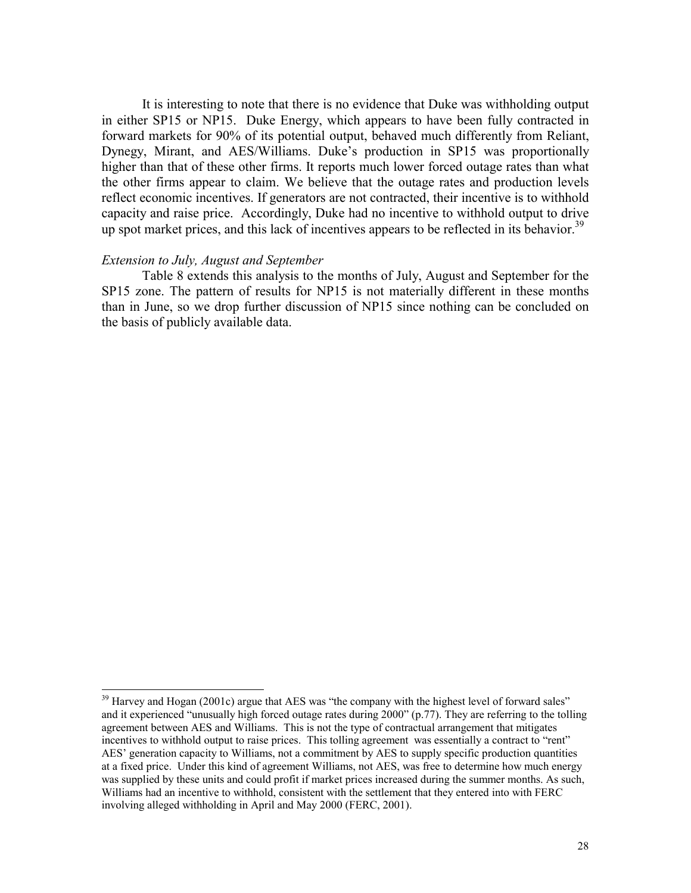It is interesting to note that there is no evidence that Duke was withholding output in either SP15 or NP15. Duke Energy, which appears to have been fully contracted in forward markets for 90% of its potential output, behaved much differently from Reliant, Dynegy, Mirant, and AES/Williams. Duke's production in SP15 was proportionally higher than that of these other firms. It reports much lower forced outage rates than what the other firms appear to claim. We believe that the outage rates and production levels reflect economic incentives. If generators are not contracted, their incentive is to withhold capacity and raise price. Accordingly, Duke had no incentive to withhold output to drive up spot market prices, and this lack of incentives appears to be reflected in its behavior.<sup>39</sup>

#### *Extension to July, August and September*

 $\overline{a}$ 

Table 8 extends this analysis to the months of July, August and September for the SP15 zone. The pattern of results for NP15 is not materially different in these months than in June, so we drop further discussion of NP15 since nothing can be concluded on the basis of publicly available data.

 $39$  Harvey and Hogan (2001c) argue that AES was "the company with the highest level of forward sales" and it experienced "unusually high forced outage rates during  $2000$ " (p.77). They are referring to the tolling agreement between AES and Williams. This is not the type of contractual arrangement that mitigates incentives to withhold output to raise prices. This tolling agreement was essentially a contract to "rent" AES<sup> $\prime$ </sup> generation capacity to Williams, not a commitment by AES to supply specific production quantities at a fixed price. Under this kind of agreement Williams, not AES, was free to determine how much energy was supplied by these units and could profit if market prices increased during the summer months. As such, Williams had an incentive to withhold, consistent with the settlement that they entered into with FERC involving alleged withholding in April and May 2000 (FERC, 2001).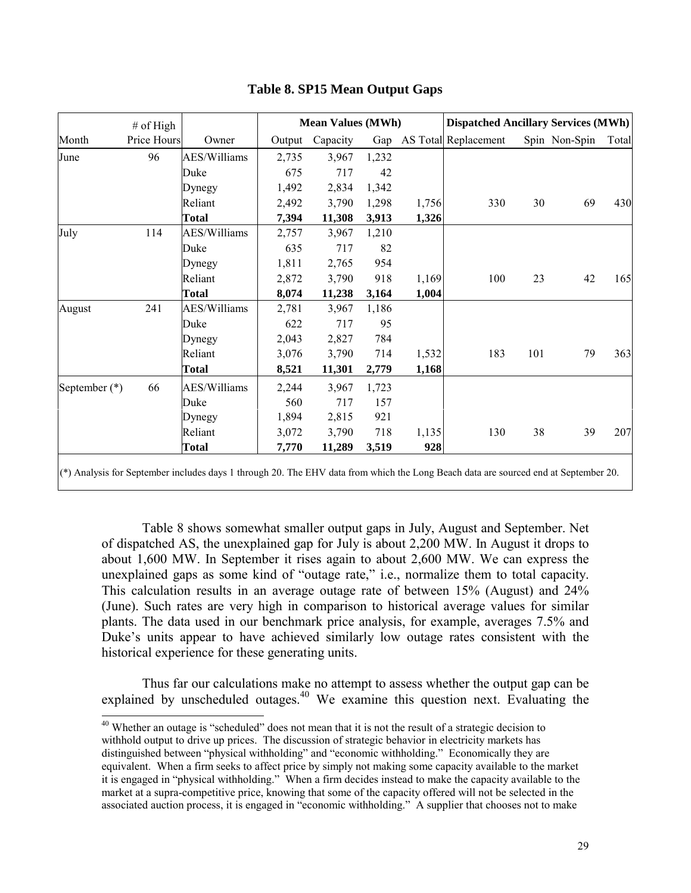|                 | # of High   |              |        | <b>Mean Values (MWh)</b> |       |       | <b>Dispatched Ancillary Services (MWh)</b> |     |               |       |
|-----------------|-------------|--------------|--------|--------------------------|-------|-------|--------------------------------------------|-----|---------------|-------|
| Month           | Price Hours | Owner        | Output | Capacity                 | Gap   |       | AS Total Replacement                       |     | Spin Non-Spin | Total |
| June            | 96          | AES/Williams | 2,735  | 3,967                    | 1,232 |       |                                            |     |               |       |
|                 |             | Duke         | 675    | 717                      | 42    |       |                                            |     |               |       |
|                 |             | Dynegy       | 1,492  | 2,834                    | 1,342 |       |                                            |     |               |       |
|                 |             | Reliant      | 2,492  | 3,790                    | 1,298 | 1,756 | 330                                        | 30  | 69            | 430   |
|                 |             | Total        | 7,394  | 11,308                   | 3,913 | 1,326 |                                            |     |               |       |
| July            | 114         | AES/Williams | 2,757  | 3,967                    | 1,210 |       |                                            |     |               |       |
|                 |             | Duke         | 635    | 717                      | 82    |       |                                            |     |               |       |
|                 |             | Dynegy       | 1,811  | 2,765                    | 954   |       |                                            |     |               |       |
|                 |             | Reliant      | 2,872  | 3,790                    | 918   | 1,169 | 100                                        | 23  | 42            | 165   |
|                 |             | Total        | 8,074  | 11,238                   | 3,164 | 1,004 |                                            |     |               |       |
| August          | 241         | AES/Williams | 2,781  | 3,967                    | 1,186 |       |                                            |     |               |       |
|                 |             | Duke         | 622    | 717                      | 95    |       |                                            |     |               |       |
|                 |             | Dynegy       | 2,043  | 2,827                    | 784   |       |                                            |     |               |       |
|                 |             | Reliant      | 3,076  | 3,790                    | 714   | 1,532 | 183                                        | 101 | 79            | 363   |
|                 |             | <b>Total</b> | 8,521  | 11,301                   | 2,779 | 1,168 |                                            |     |               |       |
| September $(*)$ | 66          | AES/Williams | 2,244  | 3,967                    | 1,723 |       |                                            |     |               |       |
|                 |             | Duke         | 560    | 717                      | 157   |       |                                            |     |               |       |
|                 |             | Dynegy       | 1,894  | 2,815                    | 921   |       |                                            |     |               |       |
|                 |             | Reliant      | 3,072  | 3,790                    | 718   | 1,135 | 130                                        | 38  | 39            | 207   |
|                 |             | <b>Total</b> | 7,770  | 11,289                   | 3,519 | 928   |                                            |     |               |       |

### **Table 8. SP15 Mean Output Gaps**

(\*) Analysis for September includes days 1 through 20. The EHV data from which the Long Beach data are sourced end at September 20.

Table 8 shows somewhat smaller output gaps in July, August and September. Net of dispatched AS, the unexplained gap for July is about 2,200 MW. In August it drops to about 1,600 MW. In September it rises again to about 2,600 MW. We can express the unexplained gaps as some kind of "outage rate," i.e., normalize them to total capacity. This calculation results in an average outage rate of between 15% (August) and 24% (June). Such rates are very high in comparison to historical average values for similar plants. The data used in our benchmark price analysis, for example, averages 7.5% and Duke's units appear to have achieved similarly low outage rates consistent with the historical experience for these generating units.

Thus far our calculations make no attempt to assess whether the output gap can be explained by unscheduled outages.<sup>40</sup> We examine this question next. Evaluating the

 $40$  Whether an outage is "scheduled" does not mean that it is not the result of a strategic decision to withhold output to drive up prices. The discussion of strategic behavior in electricity markets has distinguished between "physical withholding" and "economic withholding." Economically they are equivalent. When a firm seeks to affect price by simply not making some capacity available to the market it is engaged in "physical withholding." When a firm decides instead to make the capacity available to the market at a supra-competitive price, knowing that some of the capacity offered will not be selected in the associated auction process, it is engaged in "economic withholding." A supplier that chooses not to make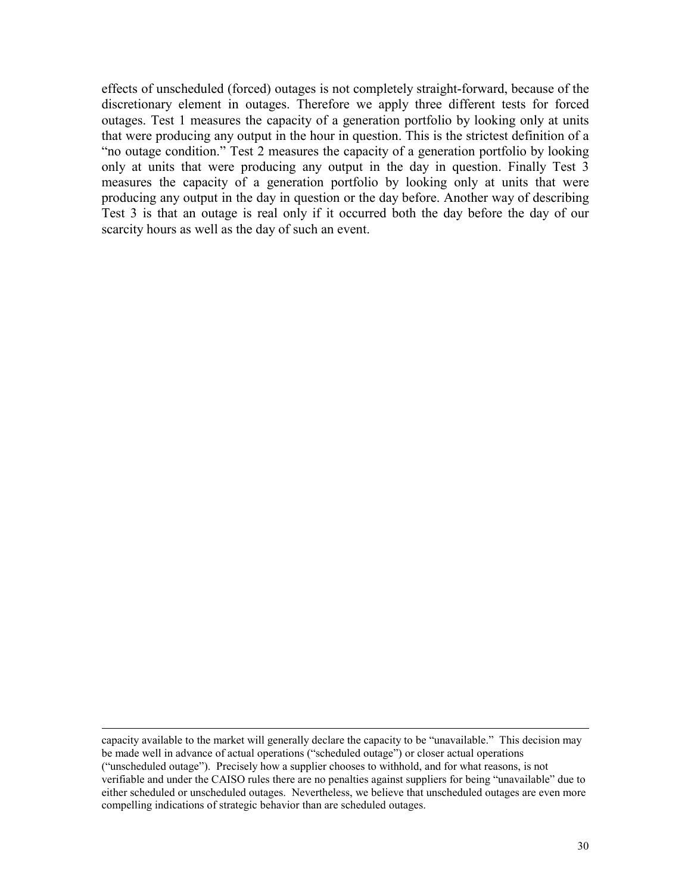effects of unscheduled (forced) outages is not completely straight-forward, because of the discretionary element in outages. Therefore we apply three different tests for forced outages. Test 1 measures the capacity of a generation portfolio by looking only at units that were producing any output in the hour in question. This is the strictest definition of a ìno outage condition.î Test 2 measures the capacity of a generation portfolio by looking only at units that were producing any output in the day in question. Finally Test 3 measures the capacity of a generation portfolio by looking only at units that were producing any output in the day in question or the day before. Another way of describing Test 3 is that an outage is real only if it occurred both the day before the day of our scarcity hours as well as the day of such an event.

capacity available to the market will generally declare the capacity to be "unavailable." This decision may be made well in advance of actual operations ("scheduled outage") or closer actual operations ("unscheduled outage"). Precisely how a supplier chooses to withhold, and for what reasons, is not verifiable and under the CAISO rules there are no penalties against suppliers for being "unavailable" due to either scheduled or unscheduled outages. Nevertheless, we believe that unscheduled outages are even more compelling indications of strategic behavior than are scheduled outages.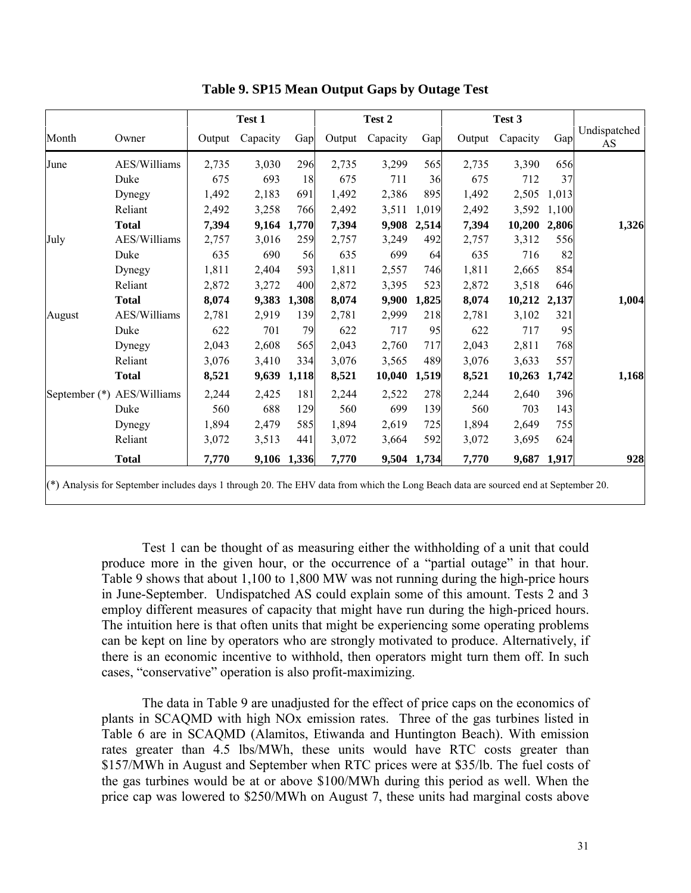|        |                            |        | Test 1   |             |        | Test 2   |             |        | Test 3   |       |                    |
|--------|----------------------------|--------|----------|-------------|--------|----------|-------------|--------|----------|-------|--------------------|
| Month  | Owner                      | Output | Capacity | Gap         | Output | Capacity | Gap         | Output | Capacity | Gap   | Undispatched<br>AS |
| June   | AES/Williams               | 2,735  | 3,030    | 296         | 2,735  | 3,299    | 565         | 2,735  | 3,390    | 656   |                    |
|        | Duke                       | 675    | 693      | 18          | 675    | 711      | 36          | 675    | 712      | 37    |                    |
|        | Dynegy                     | 1,492  | 2,183    | 691         | 1,492  | 2,386    | 895         | 1,492  | 2,505    | 1,013 |                    |
|        | Reliant                    | 2,492  | 3,258    | 766         | 2,492  | 3,511    | 1,019       | 2,492  | 3,592    | 1,100 |                    |
|        | <b>Total</b>               | 7,394  | 9,164    | 1,770       | 7,394  | 9,908    | 2,514       | 7,394  | 10,200   | 2,806 | 1,326              |
| July   | AES/Williams               | 2,757  | 3,016    | 259         | 2,757  | 3,249    | 492         | 2,757  | 3,312    | 556   |                    |
|        | Duke                       | 635    | 690      | 56          | 635    | 699      | 64          | 635    | 716      | 82    |                    |
|        | Dynegy                     | 1,811  | 2,404    | 593         | 1,811  | 2,557    | 746         | 1,811  | 2,665    | 854   |                    |
|        | Reliant                    | 2,872  | 3,272    | 400         | 2,872  | 3,395    | 523         | 2,872  | 3,518    | 646   |                    |
|        | <b>Total</b>               | 8,074  | 9,383    | 1,308       | 8,074  | 9,900    | 1,825       | 8,074  | 10,212   | 2,137 | 1,004              |
| August | AES/Williams               | 2,781  | 2,919    | 139         | 2,781  | 2,999    | 218         | 2,781  | 3,102    | 321   |                    |
|        | Duke                       | 622    | 701      | 79          | 622    | 717      | 95          | 622    | 717      | 95    |                    |
|        | Dynegy                     | 2,043  | 2,608    | 565         | 2,043  | 2,760    | 717         | 2,043  | 2,811    | 768   |                    |
|        | Reliant                    | 3,076  | 3,410    | 334         | 3,076  | 3,565    | 489         | 3,076  | 3,633    | 557   |                    |
|        | <b>Total</b>               | 8,521  | 9,639    | 1,118       | 8,521  | 10,040   | 1,519       | 8,521  | 10,263   | 1,742 | 1,168              |
|        | September (*) AES/Williams | 2,244  | 2,425    | 181         | 2,244  | 2,522    | 278         | 2,244  | 2,640    | 396   |                    |
|        | Duke                       | 560    | 688      | 129         | 560    | 699      | 139         | 560    | 703      | 143   |                    |
|        | Dynegy                     | 1,894  | 2,479    | 585         | 1,894  | 2,619    | 725         | 1,894  | 2,649    | 755   |                    |
|        | Reliant                    | 3,072  | 3,513    | 441         | 3,072  | 3,664    | 592         | 3,072  | 3,695    | 624   |                    |
|        | <b>Total</b>               | 7,770  |          | 9,106 1,336 | 7,770  |          | 9,504 1,734 | 7,770  | 9,687    | 1,917 | 928                |

**Table 9. SP15 Mean Output Gaps by Outage Test** 

 Test 1 can be thought of as measuring either the withholding of a unit that could produce more in the given hour, or the occurrence of a "partial outage" in that hour. Table 9 shows that about 1,100 to 1,800 MW was not running during the high-price hours in June-September. Undispatched AS could explain some of this amount. Tests 2 and 3 employ different measures of capacity that might have run during the high-priced hours. The intuition here is that often units that might be experiencing some operating problems can be kept on line by operators who are strongly motivated to produce. Alternatively, if there is an economic incentive to withhold, then operators might turn them off. In such cases, "conservative" operation is also profit-maximizing.

The data in Table 9 are unadjusted for the effect of price caps on the economics of plants in SCAQMD with high NOx emission rates. Three of the gas turbines listed in Table 6 are in SCAQMD (Alamitos, Etiwanda and Huntington Beach). With emission rates greater than 4.5 lbs/MWh, these units would have RTC costs greater than \$157/MWh in August and September when RTC prices were at \$35/lb. The fuel costs of the gas turbines would be at or above \$100/MWh during this period as well. When the price cap was lowered to \$250/MWh on August 7, these units had marginal costs above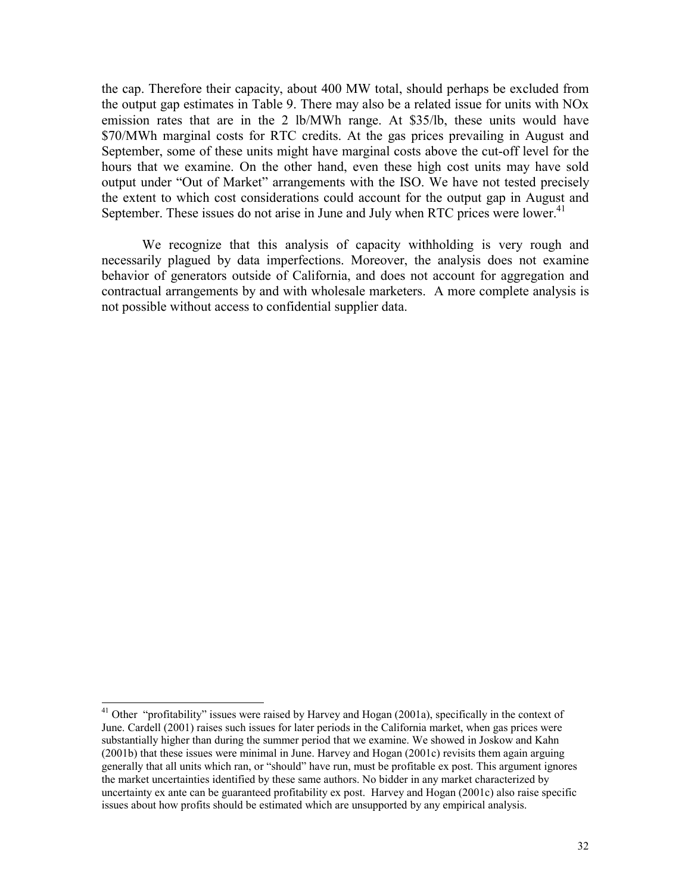the cap. Therefore their capacity, about 400 MW total, should perhaps be excluded from the output gap estimates in Table 9. There may also be a related issue for units with NOx emission rates that are in the 2 lb/MWh range. At \$35/lb, these units would have \$70/MWh marginal costs for RTC credits. At the gas prices prevailing in August and September, some of these units might have marginal costs above the cut-off level for the hours that we examine. On the other hand, even these high cost units may have sold output under "Out of Market" arrangements with the ISO. We have not tested precisely the extent to which cost considerations could account for the output gap in August and September. These issues do not arise in June and July when RTC prices were lower.<sup>41</sup>

We recognize that this analysis of capacity withholding is very rough and necessarily plagued by data imperfections. Moreover, the analysis does not examine behavior of generators outside of California, and does not account for aggregation and contractual arrangements by and with wholesale marketers. A more complete analysis is not possible without access to confidential supplier data.

<sup>&</sup>lt;sup>41</sup> Other "profitability" issues were raised by Harvey and Hogan (2001a), specifically in the context of June. Cardell (2001) raises such issues for later periods in the California market, when gas prices were substantially higher than during the summer period that we examine. We showed in Joskow and Kahn (2001b) that these issues were minimal in June. Harvey and Hogan (2001c) revisits them again arguing generally that all units which ran, or "should" have run, must be profitable ex post. This argument ignores the market uncertainties identified by these same authors. No bidder in any market characterized by uncertainty ex ante can be guaranteed profitability ex post. Harvey and Hogan (2001c) also raise specific issues about how profits should be estimated which are unsupported by any empirical analysis.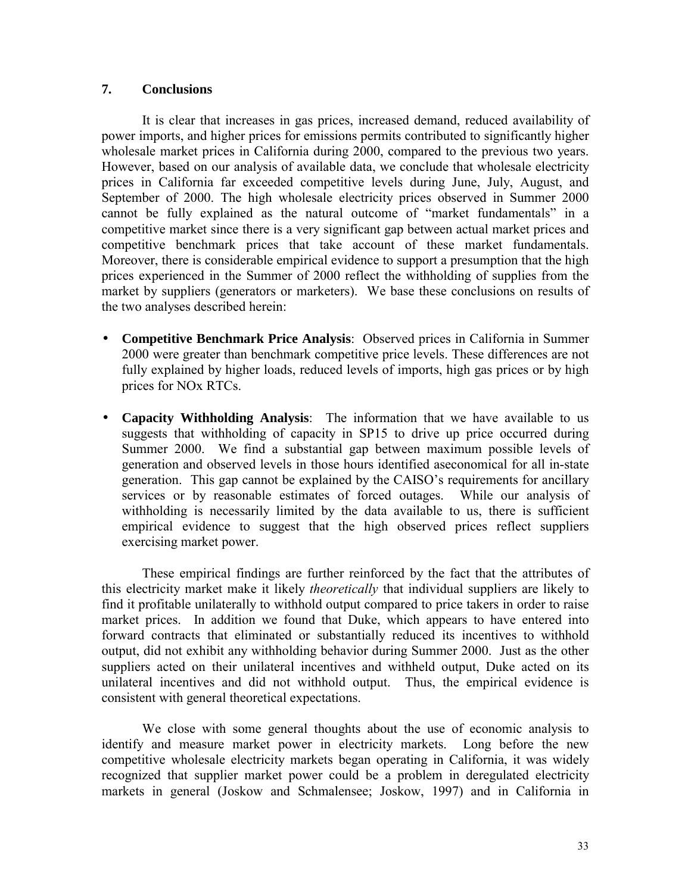## **7. Conclusions**

It is clear that increases in gas prices, increased demand, reduced availability of power imports, and higher prices for emissions permits contributed to significantly higher wholesale market prices in California during 2000, compared to the previous two years. However, based on our analysis of available data, we conclude that wholesale electricity prices in California far exceeded competitive levels during June, July, August, and September of 2000. The high wholesale electricity prices observed in Summer 2000 cannot be fully explained as the natural outcome of "market fundamentals" in a competitive market since there is a very significant gap between actual market prices and competitive benchmark prices that take account of these market fundamentals. Moreover, there is considerable empirical evidence to support a presumption that the high prices experienced in the Summer of 2000 reflect the withholding of supplies from the market by suppliers (generators or marketers). We base these conclusions on results of the two analyses described herein:

- **Competitive Benchmark Price Analysis**: Observed prices in California in Summer 2000 were greater than benchmark competitive price levels. These differences are not fully explained by higher loads, reduced levels of imports, high gas prices or by high prices for NOx RTCs.
- **Capacity Withholding Analysis**: The information that we have available to us suggests that withholding of capacity in SP15 to drive up price occurred during Summer 2000. We find a substantial gap between maximum possible levels of generation and observed levels in those hours identified aseconomical for all in-state generation. This gap cannot be explained by the CAISO's requirements for ancillary services or by reasonable estimates of forced outages. While our analysis of withholding is necessarily limited by the data available to us, there is sufficient empirical evidence to suggest that the high observed prices reflect suppliers exercising market power.

These empirical findings are further reinforced by the fact that the attributes of this electricity market make it likely *theoretically* that individual suppliers are likely to find it profitable unilaterally to withhold output compared to price takers in order to raise market prices. In addition we found that Duke, which appears to have entered into forward contracts that eliminated or substantially reduced its incentives to withhold output, did not exhibit any withholding behavior during Summer 2000. Just as the other suppliers acted on their unilateral incentives and withheld output, Duke acted on its unilateral incentives and did not withhold output. Thus, the empirical evidence is consistent with general theoretical expectations.

We close with some general thoughts about the use of economic analysis to identify and measure market power in electricity markets. Long before the new competitive wholesale electricity markets began operating in California, it was widely recognized that supplier market power could be a problem in deregulated electricity markets in general (Joskow and Schmalensee; Joskow, 1997) and in California in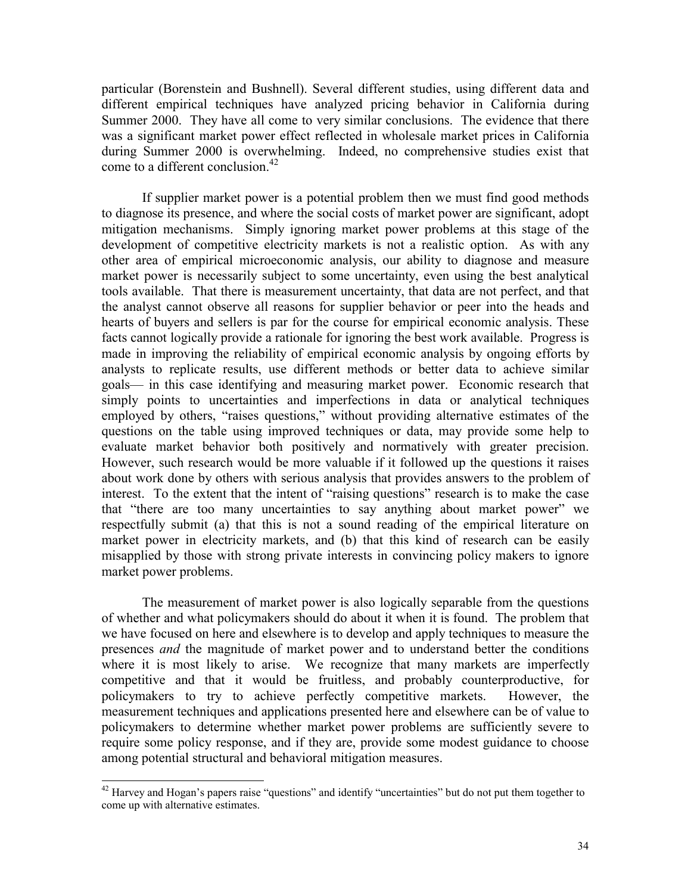particular (Borenstein and Bushnell). Several different studies, using different data and different empirical techniques have analyzed pricing behavior in California during Summer 2000. They have all come to very similar conclusions. The evidence that there was a significant market power effect reflected in wholesale market prices in California during Summer 2000 is overwhelming. Indeed, no comprehensive studies exist that come to a different conclusion.<sup>42</sup>

If supplier market power is a potential problem then we must find good methods to diagnose its presence, and where the social costs of market power are significant, adopt mitigation mechanisms. Simply ignoring market power problems at this stage of the development of competitive electricity markets is not a realistic option. As with any other area of empirical microeconomic analysis, our ability to diagnose and measure market power is necessarily subject to some uncertainty, even using the best analytical tools available. That there is measurement uncertainty, that data are not perfect, and that the analyst cannot observe all reasons for supplier behavior or peer into the heads and hearts of buyers and sellers is par for the course for empirical economic analysis. These facts cannot logically provide a rationale for ignoring the best work available. Progress is made in improving the reliability of empirical economic analysis by ongoing efforts by analysts to replicate results, use different methods or better data to achieve similar goals— in this case identifying and measuring market power. Economic research that simply points to uncertainties and imperfections in data or analytical techniques employed by others, "raises questions," without providing alternative estimates of the questions on the table using improved techniques or data, may provide some help to evaluate market behavior both positively and normatively with greater precision. However, such research would be more valuable if it followed up the questions it raises about work done by others with serious analysis that provides answers to the problem of interest. To the extent that the intent of "raising questions" research is to make the case that "there are too many uncertainties to say anything about market power" we respectfully submit (a) that this is not a sound reading of the empirical literature on market power in electricity markets, and (b) that this kind of research can be easily misapplied by those with strong private interests in convincing policy makers to ignore market power problems.

The measurement of market power is also logically separable from the questions of whether and what policymakers should do about it when it is found. The problem that we have focused on here and elsewhere is to develop and apply techniques to measure the presences *and* the magnitude of market power and to understand better the conditions where it is most likely to arise. We recognize that many markets are imperfectly competitive and that it would be fruitless, and probably counterproductive, for policymakers to try to achieve perfectly competitive markets. However, the measurement techniques and applications presented here and elsewhere can be of value to policymakers to determine whether market power problems are sufficiently severe to require some policy response, and if they are, provide some modest guidance to choose among potential structural and behavioral mitigation measures.

 $42$  Harvey and Hogan's papers raise "questions" and identify "uncertainties" but do not put them together to come up with alternative estimates.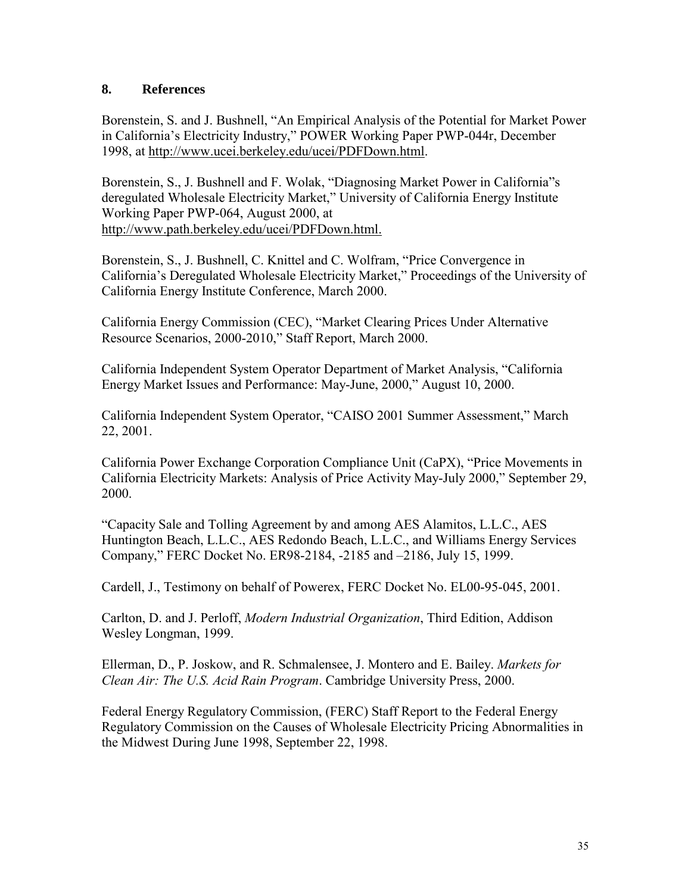## **8. References**

Borenstein, S. and J. Bushnell, "An Empirical Analysis of the Potential for Market Power in California's Electricity Industry," POWER Working Paper PWP-044r, December 1998, at http://www.ucei.berkeley.edu/ucei/PDFDown.html.

Borenstein, S., J. Bushnell and F. Wolak, "Diagnosing Market Power in California"s deregulated Wholesale Electricity Market," University of California Energy Institute Working Paper PWP-064, August 2000, at http://www.path.berkeley.edu/ucei/PDFDown.html.

Borenstein, S., J. Bushnell, C. Knittel and C. Wolfram, "Price Convergence in California's Deregulated Wholesale Electricity Market," Proceedings of the University of California Energy Institute Conference, March 2000.

California Energy Commission (CEC), "Market Clearing Prices Under Alternative Resource Scenarios, 2000-2010," Staff Report, March 2000.

California Independent System Operator Department of Market Analysis, "California Energy Market Issues and Performance: May-June, 2000," August 10, 2000.

California Independent System Operator, "CAISO 2001 Summer Assessment," March 22, 2001.

California Power Exchange Corporation Compliance Unit (CaPX), "Price Movements in California Electricity Markets: Analysis of Price Activity May-July 2000," September 29, 2000.

ìCapacity Sale and Tolling Agreement by and among AES Alamitos, L.L.C., AES Huntington Beach, L.L.C., AES Redondo Beach, L.L.C., and Williams Energy Services Company," FERC Docket No. ER98-2184, -2185 and -2186, July 15, 1999.

Cardell, J., Testimony on behalf of Powerex, FERC Docket No. EL00-95-045, 2001.

Carlton, D. and J. Perloff, *Modern Industrial Organization*, Third Edition, Addison Wesley Longman, 1999.

Ellerman, D., P. Joskow, and R. Schmalensee, J. Montero and E. Bailey. *Markets for Clean Air: The U.S. Acid Rain Program*. Cambridge University Press, 2000.

Federal Energy Regulatory Commission, (FERC) Staff Report to the Federal Energy Regulatory Commission on the Causes of Wholesale Electricity Pricing Abnormalities in the Midwest During June 1998, September 22, 1998.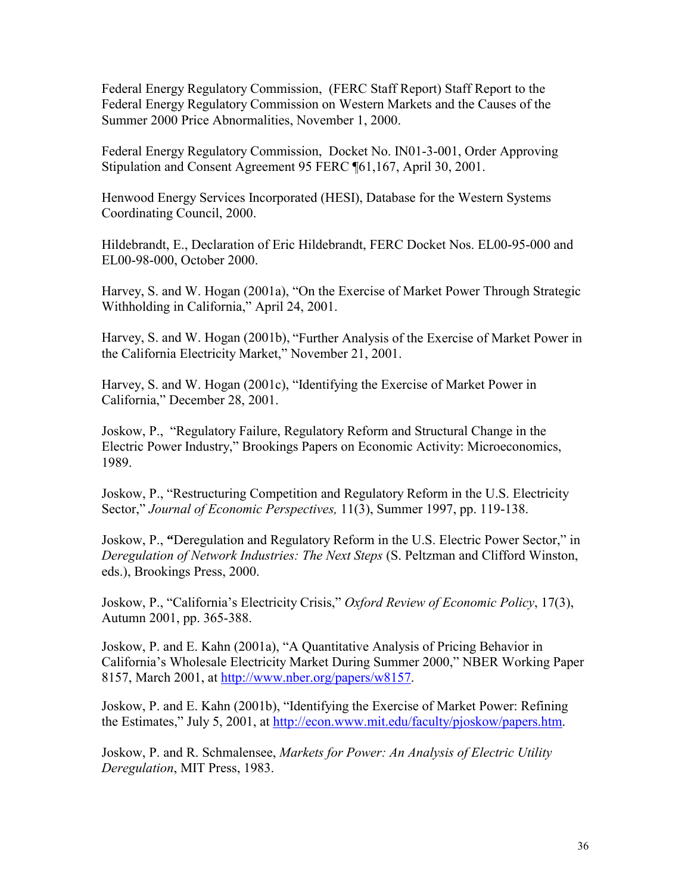Federal Energy Regulatory Commission, (FERC Staff Report) Staff Report to the Federal Energy Regulatory Commission on Western Markets and the Causes of the Summer 2000 Price Abnormalities, November 1, 2000.

Federal Energy Regulatory Commission, Docket No. IN01-3-001, Order Approving Stipulation and Consent Agreement 95 FERC ¶61,167, April 30, 2001.

Henwood Energy Services Incorporated (HESI), Database for the Western Systems Coordinating Council, 2000.

Hildebrandt, E., Declaration of Eric Hildebrandt, FERC Docket Nos. EL00-95-000 and EL00-98-000, October 2000.

Harvey, S. and W. Hogan (2001a), "On the Exercise of Market Power Through Strategic Withholding in California," April 24, 2001.

Harvey, S. and W. Hogan (2001b), "Further Analysis of the Exercise of Market Power in the California Electricity Market," November 21, 2001.

Harvey, S. and W. Hogan (2001c), "Identifying the Exercise of Market Power in California," December 28, 2001.

Joskow, P., "Regulatory Failure, Regulatory Reform and Structural Change in the Electric Power Industry," Brookings Papers on Economic Activity: Microeconomics, 1989.

Joskow, P., "Restructuring Competition and Regulatory Reform in the U.S. Electricity Sector," *Journal of Economic Perspectives*, 11(3), Summer 1997, pp. 119-138.

Joskow, P., "Deregulation and Regulatory Reform in the U.S. Electric Power Sector," in *Deregulation of Network Industries: The Next Steps* (S. Peltzman and Clifford Winston, eds.), Brookings Press, 2000.

Joskow, P., "California's Electricity Crisis," *Oxford Review of Economic Policy*, 17(3), Autumn 2001, pp. 365-388.

Joskow, P. and E. Kahn (2001a), "A Quantitative Analysis of Pricing Behavior in California's Wholesale Electricity Market During Summer 2000," NBER Working Paper 8157, March 2001, at http://www.nber.org/papers/w8157.

Joskow, P. and E. Kahn (2001b), "Identifying the Exercise of Market Power: Refining the Estimates," July 5, 2001, at http://econ.www.mit.edu/faculty/pjoskow/papers.htm.

Joskow, P. and R. Schmalensee, *Markets for Power: An Analysis of Electric Utility Deregulation*, MIT Press, 1983.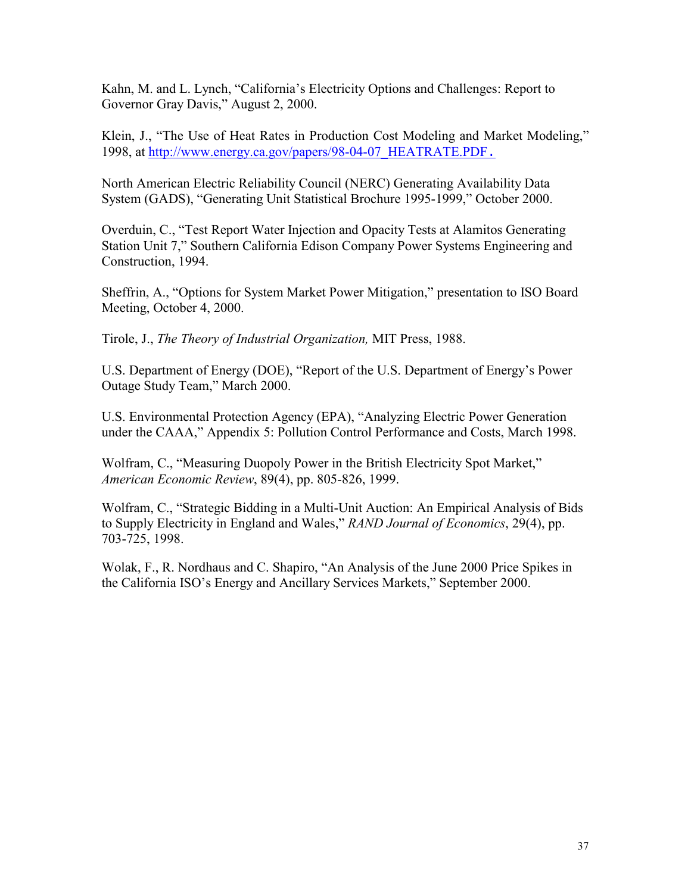Kahn, M. and L. Lynch, "California's Electricity Options and Challenges: Report to Governor Gray Davis," August 2, 2000.

Klein, J., "The Use of Heat Rates in Production Cost Modeling and Market Modeling," 1998, at http://www.energy.ca.gov/papers/98-04-07\_HEATRATE.PDF.

North American Electric Reliability Council (NERC) Generating Availability Data System (GADS), "Generating Unit Statistical Brochure 1995-1999," October 2000.

Overduin, C., "Test Report Water Injection and Opacity Tests at Alamitos Generating Station Unit 7," Southern California Edison Company Power Systems Engineering and Construction, 1994.

Sheffrin, A., "Options for System Market Power Mitigation," presentation to ISO Board Meeting, October 4, 2000.

Tirole, J., *The Theory of Industrial Organization,* MIT Press, 1988.

U.S. Department of Energy (DOE), "Report of the U.S. Department of Energy's Power Outage Study Team," March 2000.

U.S. Environmental Protection Agency (EPA), "Analyzing Electric Power Generation under the CAAA," Appendix 5: Pollution Control Performance and Costs, March 1998.

Wolfram, C., "Measuring Duopoly Power in the British Electricity Spot Market," *American Economic Review*, 89(4), pp. 805-826, 1999.

Wolfram, C., "Strategic Bidding in a Multi-Unit Auction: An Empirical Analysis of Bids to Supply Electricity in England and Wales,î *RAND Journal of Economics*, 29(4), pp. 703-725, 1998.

Wolak, F., R. Nordhaus and C. Shapiro, "An Analysis of the June 2000 Price Spikes in the California ISO's Energy and Ancillary Services Markets," September 2000.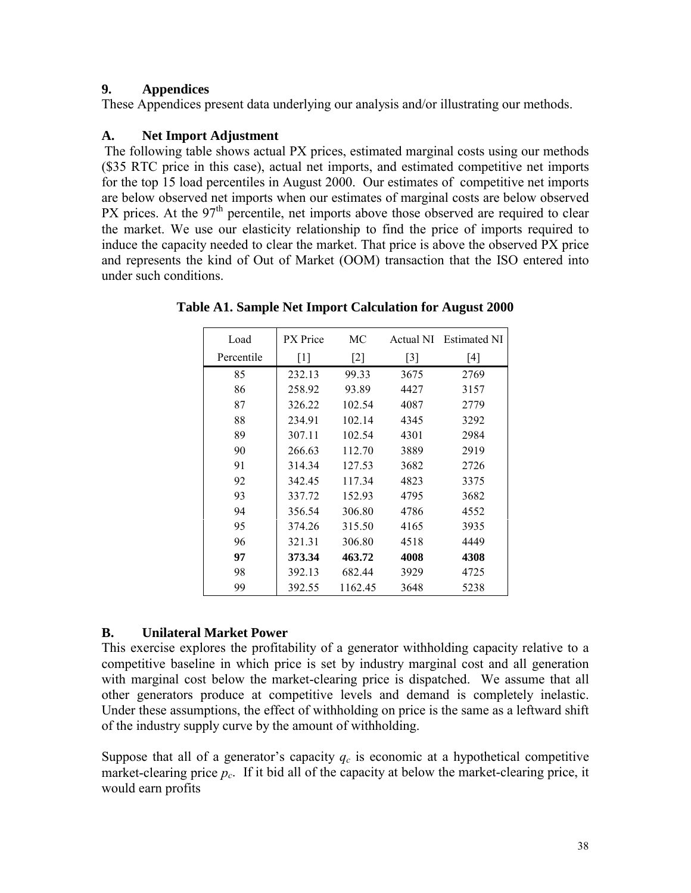## **9. Appendices**

These Appendices present data underlying our analysis and/or illustrating our methods.

## **A. Net Import Adjustment**

The following table shows actual PX prices, estimated marginal costs using our methods (\$35 RTC price in this case), actual net imports, and estimated competitive net imports for the top 15 load percentiles in August 2000. Our estimates of competitive net imports are below observed net imports when our estimates of marginal costs are below observed PX prices. At the  $97<sup>th</sup>$  percentile, net imports above those observed are required to clear the market. We use our elasticity relationship to find the price of imports required to induce the capacity needed to clear the market. That price is above the observed PX price and represents the kind of Out of Market (OOM) transaction that the ISO entered into under such conditions.

| Load       | <b>PX</b> Price | MC      | Actual NI | <b>Estimated NI</b> |
|------------|-----------------|---------|-----------|---------------------|
| Percentile | $[1]$           | $[2]$   | $[3]$     | $[4]$               |
| 85         | 232.13          | 99.33   | 3675      | 2769                |
| 86         | 258.92          | 93.89   | 4427      | 3157                |
| 87         | 326.22          | 102.54  | 4087      | 2779                |
| 88         | 234.91          | 102.14  | 4345      | 3292                |
| 89         | 307.11          | 102.54  | 4301      | 2984                |
| 90         | 266.63          | 112.70  | 3889      | 2919                |
| 91         | 314.34          | 127.53  | 3682      | 2726                |
| 92         | 342.45          | 117.34  | 4823      | 3375                |
| 93         | 337.72          | 152.93  | 4795      | 3682                |
| 94         | 356.54          | 306.80  | 4786      | 4552                |
| 95         | 374.26          | 315.50  | 4165      | 3935                |
| 96         | 321.31          | 306.80  | 4518      | 4449                |
| 97         | 373.34          | 463.72  | 4008      | 4308                |
| 98         | 392.13          | 682.44  | 3929      | 4725                |
| 99         | 392.55          | 1162.45 | 3648      | 5238                |

**Table A1. Sample Net Import Calculation for August 2000** 

# **B. Unilateral Market Power**

This exercise explores the profitability of a generator withholding capacity relative to a competitive baseline in which price is set by industry marginal cost and all generation with marginal cost below the market-clearing price is dispatched. We assume that all other generators produce at competitive levels and demand is completely inelastic. Under these assumptions, the effect of withholding on price is the same as a leftward shift of the industry supply curve by the amount of withholding.

Suppose that all of a generator's capacity  $q_c$  is economic at a hypothetical competitive market-clearing price *pc*. If it bid all of the capacity at below the market-clearing price, it would earn profits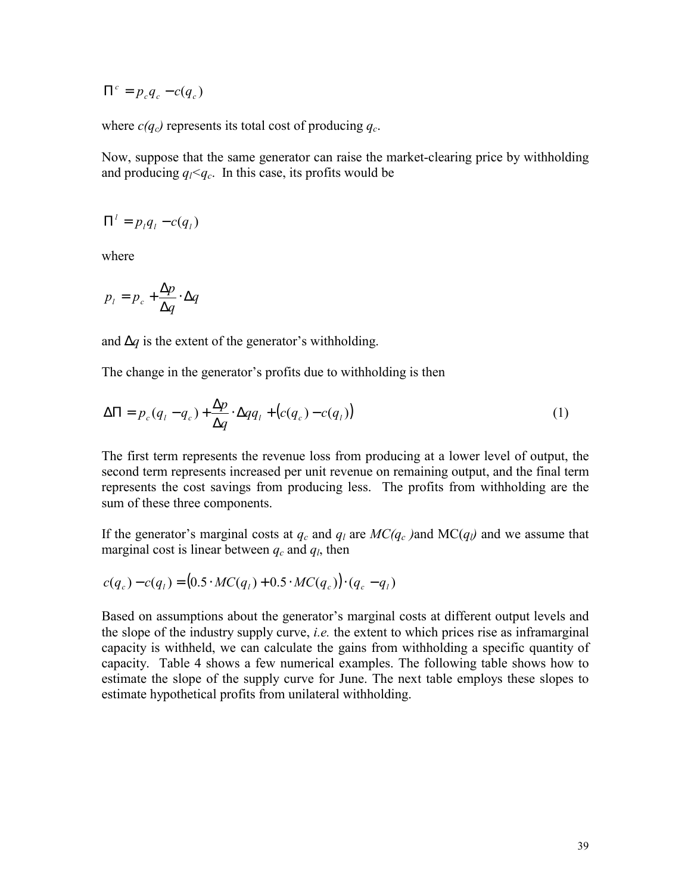$$
\Pi^c = p_c q_c - c(q_c)
$$

where  $c(q_c)$  represents its total cost of producing  $q_c$ .

Now, suppose that the same generator can raise the market-clearing price by withholding and producing  $q_1 < q_c$ . In this case, its profits would be

$$
\Pi^l = p_l q_l - c(q_l)
$$

where

$$
p_i = p_c + \frac{\Delta p}{\Delta q} \cdot \Delta q
$$

and  $\Delta q$  is the extent of the generator's withholding.

The change in the generator's profits due to withholding is then

$$
\Delta \Pi = p_c(q_l - q_c) + \frac{\Delta p}{\Delta q} \cdot \Delta q q_l + (c(q_c) - c(q_l))
$$
\n(1)

The first term represents the revenue loss from producing at a lower level of output, the second term represents increased per unit revenue on remaining output, and the final term represents the cost savings from producing less. The profits from withholding are the sum of these three components.

If the generator's marginal costs at  $q_c$  and  $q_l$  are  $MC(q_c)$  and  $MC(q_l)$  and we assume that marginal cost is linear between  $q_c$  and  $q_l$ , then

$$
c(q_c) - c(q_l) = (0.5 \cdot MC(q_l) + 0.5 \cdot MC(q_c)) \cdot (q_c - q_l)
$$

Based on assumptions about the generator's marginal costs at different output levels and the slope of the industry supply curve, *i.e.* the extent to which prices rise as inframarginal capacity is withheld, we can calculate the gains from withholding a specific quantity of capacity. Table 4 shows a few numerical examples. The following table shows how to estimate the slope of the supply curve for June. The next table employs these slopes to estimate hypothetical profits from unilateral withholding.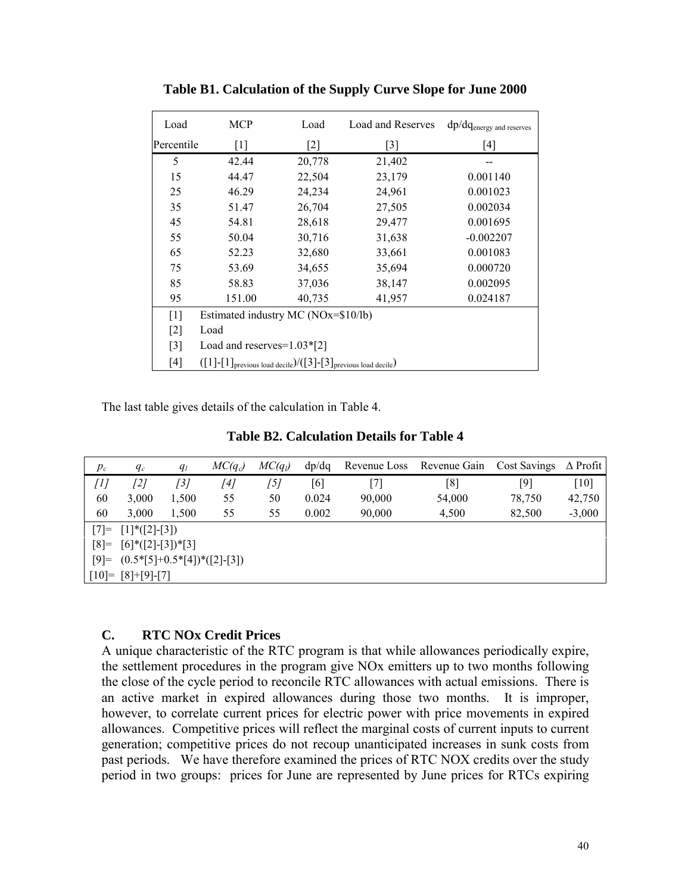| Load              | <b>MCP</b>                                                                               | Load   | Load and Reserves | $dp/dq_{energy \text{ and reserves}}$ |
|-------------------|------------------------------------------------------------------------------------------|--------|-------------------|---------------------------------------|
| Percentile        | $[1]$                                                                                    | $[2]$  | $[3]$             | $[4]$                                 |
| 5                 | 42.44                                                                                    | 20,778 | 21,402            |                                       |
| 15                | 44.47                                                                                    | 22,504 | 23,179            | 0.001140                              |
| 25                | 46.29                                                                                    | 24,234 | 24,961            | 0.001023                              |
| 35                | 51.47                                                                                    | 26,704 | 27,505            | 0.002034                              |
| 45                | 54.81                                                                                    | 28,618 | 29,477            | 0.001695                              |
| 55                | 50.04                                                                                    | 30,716 | 31,638            | $-0.002207$                           |
| 65                | 52.23                                                                                    | 32,680 | 33,661            | 0.001083                              |
| 75                | 53.69                                                                                    | 34,655 | 35,694            | 0.000720                              |
| 85                | 58.83                                                                                    | 37,036 | 38,147            | 0.002095                              |
| 95                | 151.00                                                                                   | 40,735 | 41,957            | 0.024187                              |
| [1]               | Estimated industry MC (NOx=\$10/lb)                                                      |        |                   |                                       |
| $\lceil 2 \rceil$ | Load                                                                                     |        |                   |                                       |
| $\lceil 3 \rceil$ | Load and reserves= $1.03*[2]$                                                            |        |                   |                                       |
| [4]               | $([1]-[1]$ <sub>previous</sub> load decile)/ $([3]-[3]$ <sub>previous</sub> load decile) |        |                   |                                       |

**Table B1. Calculation of the Supply Curve Slope for June 2000** 

The last table gives details of the calculation in Table 4.

**Table B2. Calculation Details for Table 4** 

| $p_c$                                                                                                                                                                                                                                                                                                                                                                                                                                                                                                                                                                                                 | $q_c$                                                 | $q_l$ | $MC(q_c)$ | MC(q) | dp/dq | Revenue Loss | Revenue Gain      | <b>Cost Savings</b> | $\Delta$ Profit |
|-------------------------------------------------------------------------------------------------------------------------------------------------------------------------------------------------------------------------------------------------------------------------------------------------------------------------------------------------------------------------------------------------------------------------------------------------------------------------------------------------------------------------------------------------------------------------------------------------------|-------------------------------------------------------|-------|-----------|-------|-------|--------------|-------------------|---------------------|-----------------|
| $[1] % \begin{minipage}[b]{0.45\linewidth} \centering \includegraphics[width=\textwidth]{figs/fig_4.pdf} \caption{The figure shows the \textit{Stab} model.} \label{fig:Stab} \end{minipage} \vspace{0.05\linewidth} \begin{minipage}[b]{0.45\linewidth} \centering \includegraphics[width=\textwidth]{figs/fig_4.pdf} \caption{The figure shows the \textit{Stab} model.} \label{fig:Stab} \end{minipage} \vspace{0.05\linewidth} \begin{minipage}[b]{0.45\linewidth} \centering \includegraphics[width=\textwidth]{figs/fig_4.pdf} \caption{The figure shows the \textit{Stab} model.} \label{fig:$ | [2]                                                   | [3]   | [4]       | [5]   | [6]   | [7]          | $\lceil 8 \rceil$ | [9]                 | $[10]$          |
| 60                                                                                                                                                                                                                                                                                                                                                                                                                                                                                                                                                                                                    | 3,000                                                 | 1,500 | 55        | 50    | 0.024 | 90,000       | 54,000            | 78,750              | 42,750          |
| 60                                                                                                                                                                                                                                                                                                                                                                                                                                                                                                                                                                                                    | 3,000                                                 | 1,500 | 55        | 55    | 0.002 | 90,000       | 4,500             | 82,500              | $-3,000$        |
| $[7]$ =                                                                                                                                                                                                                                                                                                                                                                                                                                                                                                                                                                                               | $[1]$ <sup>*</sup> $([2]$ -[3])                       |       |           |       |       |              |                   |                     |                 |
| $\lceil 8 \rceil$                                                                                                                                                                                                                                                                                                                                                                                                                                                                                                                                                                                     | $[6]$ <sup>*</sup> $([2]$ - $[3])$ <sup>*</sup> $[3]$ |       |           |       |       |              |                   |                     |                 |
| $[9]$ =                                                                                                                                                                                                                                                                                                                                                                                                                                                                                                                                                                                               | $(0.5*[5]+0.5*[4])*([2]-[3])$                         |       |           |       |       |              |                   |                     |                 |
|                                                                                                                                                                                                                                                                                                                                                                                                                                                                                                                                                                                                       | $[10]= [8]+ [9]- [7]$                                 |       |           |       |       |              |                   |                     |                 |

### **C. RTC NOx Credit Prices**

A unique characteristic of the RTC program is that while allowances periodically expire, the settlement procedures in the program give NOx emitters up to two months following the close of the cycle period to reconcile RTC allowances with actual emissions. There is an active market in expired allowances during those two months. It is improper, however, to correlate current prices for electric power with price movements in expired allowances. Competitive prices will reflect the marginal costs of current inputs to current generation; competitive prices do not recoup unanticipated increases in sunk costs from past periods. We have therefore examined the prices of RTC NOX credits over the study period in two groups: prices for June are represented by June prices for RTCs expiring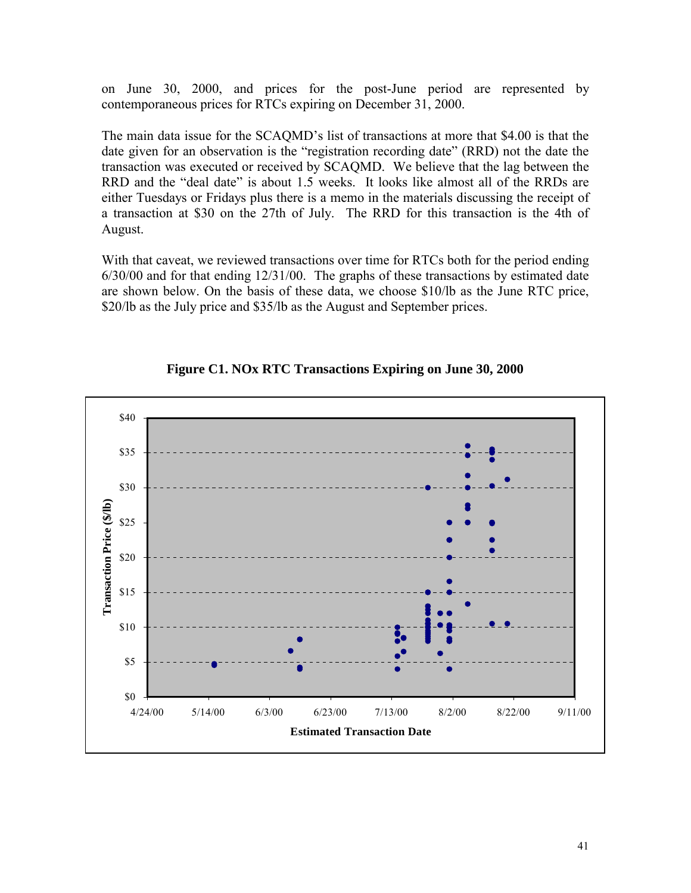on June 30, 2000, and prices for the post-June period are represented by contemporaneous prices for RTCs expiring on December 31, 2000.

The main data issue for the SCAQMD's list of transactions at more that \$4.00 is that the date given for an observation is the "registration recording date" (RRD) not the date the transaction was executed or received by SCAQMD. We believe that the lag between the RRD and the "deal date" is about 1.5 weeks. It looks like almost all of the RRDs are either Tuesdays or Fridays plus there is a memo in the materials discussing the receipt of a transaction at \$30 on the 27th of July. The RRD for this transaction is the 4th of August.

With that caveat, we reviewed transactions over time for RTCs both for the period ending 6/30/00 and for that ending 12/31/00. The graphs of these transactions by estimated date are shown below. On the basis of these data, we choose \$10/lb as the June RTC price, \$20/lb as the July price and \$35/lb as the August and September prices.



**Figure C1. NOx RTC Transactions Expiring on June 30, 2000**